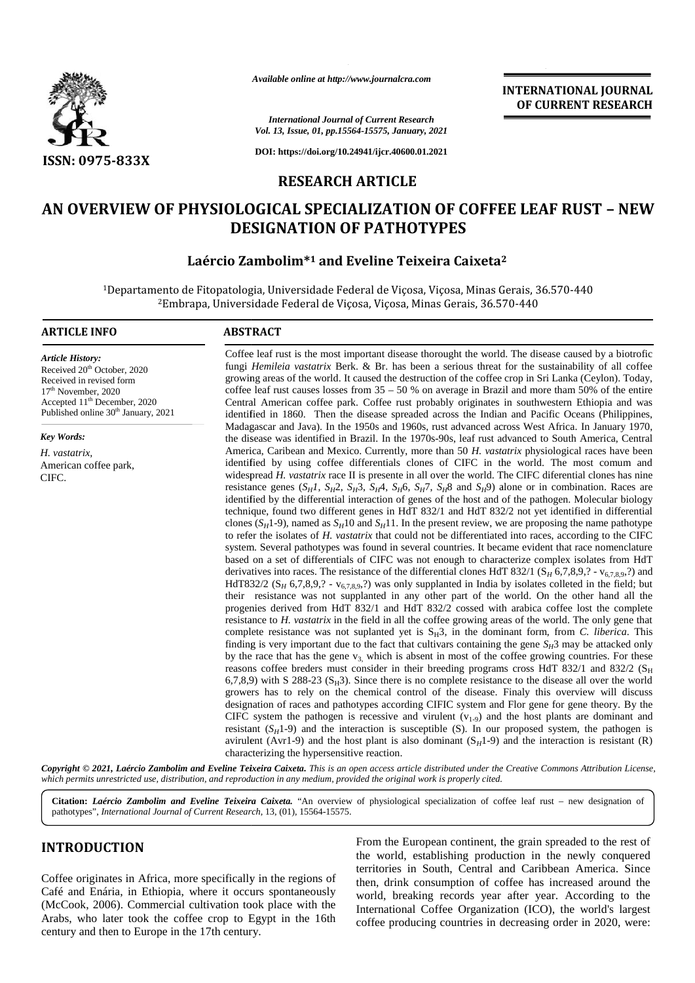

*Available online at http://www.journalcra.com*

# *International Journal of Current Research Vol. 13, Issue, 01, pp.15564-15575, January, 2021* **https://doi.org/10.24941/ijcr.40600.01.2021<br>3, Issue, 01, pp.15564-15575, January, 2021<br>https://doi.org/10.24941/ijcr.40600.01.2021**

**DOI: https://doi.org/10.24941/ijcr.40600.01.2021**

### **RESEARCH ARTICLE**

## AN OVERVIEW OF PHYSIOLOGICAL SPECIALIZATION OF COFFEE LEAF RUST – NEW<br>DESIGNATION OF PATHOTYPES **DESIGNATION OF PATHOTYPES**

#### **Laércio Zambolim\* <sup>1</sup> and Eveline Teixeira Caixeta<sup>2</sup> Laércio 12**

<sup>1</sup>Departamento de Fitopatologia, Universidade Federal de Viçosa, Viçosa, Minas Gerais, 36.570-440 <sup>2</sup>Embrapa, Universidade Federal de Viçosa, Viçosa, Minas Gerais, 36.570-440 Gerais,

#### **ARTICLE INFO ABSTRACT ARTICLE ABSTRACT**

*Article History:* Received 20<sup>th</sup> October, 2020 Received in revised form 17th November, 2020 Accepted 11<sup>th</sup> December, 2020 Published online 30<sup>th</sup> January, 2021

*Key Words:*

*H. vastatrix,* American coffee park, CIFC.

Coffee leaf rust is the most important disease thorought the world. The disease caused by a biotrofic fungi *Hemileia vastatrix* Berk. & Br. has been a serious threat for the sustainability of all coffee growing areas of the world. It caused the destruction of the coffee crop in Sri Lanka (Ceylon). Today, coffee leaf rust causes losses from  $35 - 50$  % on average in Brazil and more tham 50% of the entire Central American coffee park. Coffee rust probably originates in southwestern Ethiopia and was identified in 1860. Then the disease spreaded across the Indian and Pacific Oceans (Philippines, Madagascar and Java). In the 1950s and 1960s, rust advanced across West Africa. In January 1970, Madagascar and Java). In the 1950s and 1960s, rust advanced across West Africa. In January 1970,<br>the disease was identified in Brazil. In the 1970s-90s, leaf rust advanced to South America, Central America, Caribean and Mexico. Currently, more than 50 *H. vastatrix* physiological races have been America, Caribean and Mexico. Currently, more than 50 H. vastatrix physiological races have been identified by using coffee differentials clones of CIFC in the world. The most comum and widespread *H. vastatrix* race II is presente in all over the world. The CIFC diferential clones has nine resistance genes  $(S_H I, S_H2, S_H3, S_H4, S_H6, S_H7, S_H8$  and  $S_H9$ ) alone or in combination. Races are identified by the differential interaction of genes of the host and of the pathogen. Molecular biology technique, found two different genes in HdT 832/1 and HdT 832/2 not yet identified in differential clones  $(S_H1-9)$ , named as  $S_H10$  and  $S_H11$ . In the present review, we are proposing the name pathotype to refer the isolates of *H. vastatrix* that could not be differentiated into races, according to the CIFC system. Several pathotypes was found in several countries. It became evident that race nomenclature based on a set of differentials of CIFC was not enough to characterize complex isolates from HdT derivatives into races. The resistance of the differential clones HdT 832/1 ( $S_H$  6,7,8,9,? -  $v_{6,7,8,9}$ .?) and HdT832/2 (S<sub>H</sub> 6,7,8,9,? - v<sub>6,7,8,9</sub>,?) was only supplanted in India by isolates colleted in the field; but their resistance was not supplanted in any other part of the world. On the other hand all the progenies derived their resistance was not supplanted in any other part of the world. On the other hand all the progenies derived from HdT 832/1 and HdT 832/2 cossed with arabica coffee lost the complete resistance to *H. vastatrix* in the field in all the coffee growing areas of the world. The only gene that complete resistance was not suplanted yet is  $S_H3$ , in the dominant form, from *C. liberica*. This finding is very important due to the fact that cultivars containing the gene  $S_H$ 3 may be attacked only resistance to *H. vastatrix* in the field in all the coffee growing areas of the world. The only gene that complete resistance was not suplanted yet is  $S_H 3$ , in the dominant form, from *C. liberica*. This finding is ver reasons coffee breders must consider in their breeding programs cross HdT 832/1 and 832/2 ( $S_H$ ) 6,7,8,9) with S 288-23 ( $S<sub>H</sub>3$ ). Since there is no complete resistance to the disease all over the world growers has to rely on the chemical control of the disease. Finaly this overview will discuss designation of races and pathotypes according CIFIC system and Flor gene for gene theory. By the CIFC system the pathogen is recessive and virulent  $(v_{1-9})$  and the host plants are dominant and resistant  $(S_H1-9)$  and the interaction is susceptible (S). In our proposed system, the pathogen is avirulent (Avr1-9) and the host plant is also dominant  $(S_H1-9)$  and the interaction is resistant (R) characterizing the hypersensitive reaction. ix Berk. & Br. has been a serious threat for the sustainability of all coffee orld. It caused the destruction of the coffee crop in Sri Lanka (Ceylon). Today, losses from  $35 - 50$  % on average in Brazil and more tham 50% resistance genes  $(S_H1, S_H2, S_H3, S_H4, S_H6, S_H7, S_H8$  and  $S_H9$ ) alone or in combination. Races are<br>identified by the differential interaction of genes of the host and of the pathogen. Molecular biology<br>technique, found two diff offee breders must consider in their breeding programs cross HdT 832/1 and 832/2  $x$ ith S 288-23 (S<sub>H</sub>3). Since there is no complete resistance to the disease all over the whas to rely on the chemical control of the disea CONFERENT RESEARCH **EXECUTE ARABS, COFFERENT ARABS, COFFERENT ARABS, THE CORRESPONDING CONFERENT ARABS (SERVER OF PIFYSIOLOGICAL APECAFFICATION OF COFFEE LEAF RUST - NEW PROPERT ARE CONFERENT ARABS (SERVER ARABS (SERVER A** Available antine at http://www.journalcra.com<br> **Current Research**<br>
Current Research<br>
Current Research<br>
Current Research<br>
Current Research<br>
Current Research<br>
Current Research<br>
Current Research<br>
Current Research<br>
Current Re

**INTERNATIONAL JOURNAL OF CURRENT RESEARCH**

Copyright © 2021, Laércio Zambolim and Eveline Teixeira Caixeta. This is an open access article distributed under the Creative Commons Attribution License, which permits unrestricted use, distribution, and reproduction in any medium, provided the original work is properly cited.

Citation: *Laércio Zambolim and Eveline Teixeira Caixeta.* "An overview of physiological specialization of coffee leaf rust – new designation of pathotypes", *International Journal of Current Research*, 13, (01), 15564-15575.

### **INTRODUCTION INTRODUCTION**

Coffee originates in Africa, more specifically in the regions of Café and Enária, in Ethiopia, where it occurs spontaneously (McCook, 2006). Commercial cultivation took place with the Arabs, who later took the coffee crop to Egypt in the 16th century and then to Europe in the 17th century.

From the European continent, the grain spreaded to the rest of the world, establishing production in the newly conquered territories in South, Central and Caribbean America. Since then, drink consumption of coffee has increased around the world, breaking records year after year. According to the International Coffee Organization (ICO), the world's largest coffee producing countries in decreasing order in 2020, were: the world, establishing production in the newly conquered<br>in Africa, more specifically in the regions of<br>in Ethiopia, where it occurs spontaneously<br>Commercial cultivation took place with the<br>took the coffee crop to Egypt i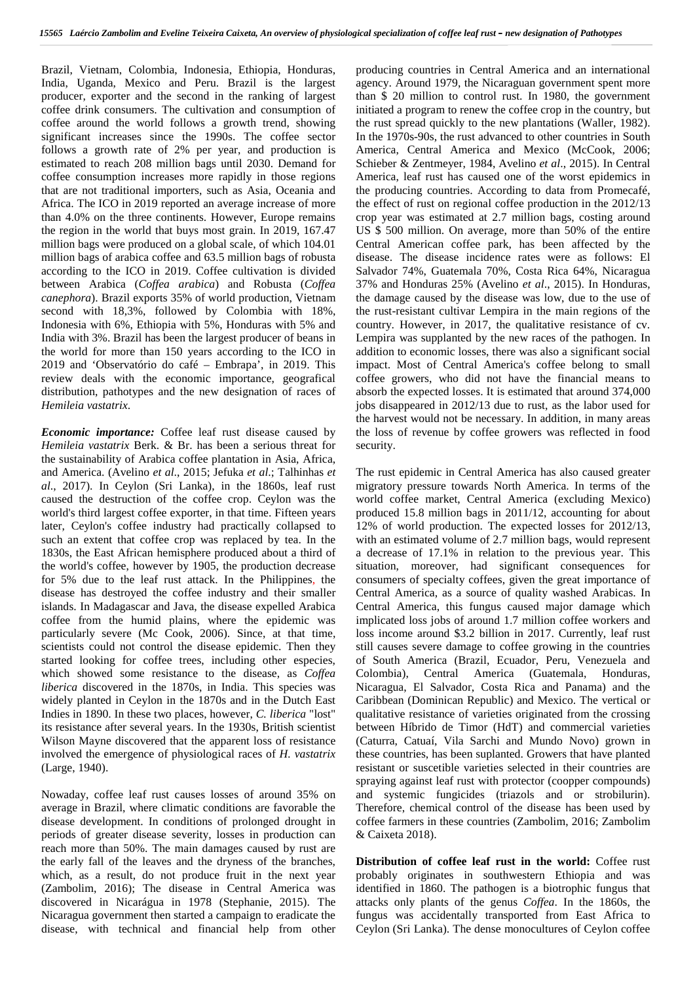Brazil, Vietnam, Colombia, Indonesia, Ethiopia, Honduras, India, Uganda, Mexico and Peru. Brazil is the largest producer, exporter and the second in the ranking of largest coffee drink consumers. The cultivation and consumption of coffee around the world follows a growth trend, showing significant increases since the 1990s. The coffee sector follows a growth rate of 2% per year, and production is estimated to reach 208 million bags until 2030. Demand for coffee consumption increases more rapidly in those regions that are not traditional importers, such as Asia, Oceania and Africa. The ICO in 2019 reported an average increase of more than 4.0% on the three continents. However, Europe remains the region in the world that buys most grain. In 2019, 167.47 million bags were produced on a global scale, of which 104.01 million bags of arabica coffee and 63.5 million bags of robusta according to the ICO in 2019. Coffee cultivation is divided between Arabica (*Coffea arabica*) and Robusta (*Coffea canephora*). Brazil exports 35% of world production, Vietnam second with 18,3%, followed by Colombia with 18%, Indonesia with 6%, Ethiopia with 5%, Honduras with 5% and India with 3%. Brazil has been the largest producer of beans in the world for more than 150 years according to the ICO in 2019 and 'Observatório do café – Embrapa', in 2019. This review deals with the economic importance, geografical distribution, pathotypes and the new designation of races of *Hemileia vastatrix*.

*Economic importance:* Coffee leaf rust disease caused by *Hemileia vastatrix* Berk. & Br. has been a serious threat for the sustainability of Arabica coffee plantation in Asia, Africa, and America. (Avelino *et al*., 2015; Jefuka *et al*.; Talhinhas *et al*., 2017). In Ceylon (Sri Lanka), in the 1860s, leaf rust caused the destruction of the coffee crop. Ceylon was the world's third largest coffee exporter, in that time. Fifteen years later, Ceylon's coffee industry had practically collapsed to such an extent that coffee crop was replaced by tea. In the 1830s, the East African hemisphere produced about a third of the world's coffee, however by 1905, the production decrease for 5% due to the leaf rust attack. In the Philippines, the disease has destroyed the coffee industry and their smaller islands. In Madagascar and Java, the disease expelled Arabica coffee from the humid plains, where the epidemic was particularly severe (Mc Cook, 2006). Since, at that time, scientists could not control the disease epidemic. Then they started looking for coffee trees, including other especies, which showed some resistance to the disease, as *Coffea liberica* discovered in the 1870s, in India. This species was widely planted in Ceylon in the 1870s and in the Dutch East Indies in 1890. In these two places, however, *C. liberica* "lost" its resistance after several years. In the 1930s, British scientist Wilson Mayne discovered that the apparent loss of resistance involved the emergence of physiological races of *H. vastatrix* (Large, 1940).

Nowaday, coffee leaf rust causes losses of around 35% on average in Brazil, where climatic conditions are favorable the disease development. In conditions of prolonged drought in periods of greater disease severity, losses in production can reach more than 50%. The main damages caused by rust are the early fall of the leaves and the dryness of the branches, which, as a result, do not produce fruit in the next year (Zambolim, 2016); The disease in Central America was discovered in Nicarágua in 1978 (Stephanie, 2015). The Nicaragua government then started a campaign to eradicate the disease, with technical and financial help from other

producing countries in Central America and an international agency. Around 1979, the Nicaraguan government spent more than \$ 20 million to control rust. In 1980, the government initiated a program to renew the coffee crop in the country, but the rust spread quickly to the new plantations (Waller, 1982). In the 1970s-90s, the rust advanced to other countries in South America, Central America and Mexico (McCook, 2006; Schieber & Zentmeyer, 1984, Avelino *et al*., 2015). In Central America, leaf rust has caused one of the worst epidemics in the producing countries. According to data from Promecafé, the effect of rust on regional coffee production in the 2012/13 crop year was estimated at 2.7 million bags, costing around US \$ 500 million. On average, more than 50% of the entire Central American coffee park, has been affected by the disease. The disease incidence rates were as follows: El Salvador 74%, Guatemala 70%, Costa Rica 64%, Nicaragua 37% and Honduras 25% (Avelino *et al*., 2015). In Honduras, the damage caused by the disease was low, due to the use of the rust-resistant cultivar Lempira in the main regions of the country. However, in 2017, the qualitative resistance of cv. Lempira was supplanted by the new races of the pathogen. In addition to economic losses, there was also a significant social impact. Most of Central America's coffee belong to small coffee growers, who did not have the financial means to absorb the expected losses. It is estimated that around 374,000 jobs disappeared in 2012/13 due to rust, as the labor used for the harvest would not be necessary. In addition, in many areas the loss of revenue by coffee growers was reflected in food security.

The rust epidemic in Central America has also caused greater migratory pressure towards North America. In terms of the world coffee market, Central America (excluding Mexico) produced 15.8 million bags in 2011/12, accounting for about 12% of world production. The expected losses for 2012/13, with an estimated volume of 2.7 million bags, would represent a decrease of 17.1% in relation to the previous year. This situation, moreover, had significant consequences for consumers of specialty coffees, given the great importance of Central America, as a source of quality washed Arabicas. In Central America, this fungus caused major damage which implicated loss jobs of around 1.7 million coffee workers and loss income around \$3.2 billion in 2017. Currently, leaf rust still causes severe damage to coffee growing in the countries of South America (Brazil, Ecuador, Peru, Venezuela and Colombia), Central America (Guatemala, Honduras, Nicaragua, El Salvador, Costa Rica and Panama) and the Caribbean (Dominican Republic) and Mexico. The vertical or qualitative resistance of varieties originated from the crossing between Híbrido de Timor (HdT) and commercial varieties (Caturra, Catuaí, Vila Sarchi and Mundo Novo) grown in these countries, has been suplanted. Growers that have planted resistant or suscetible varieties selected in their countries are spraying against leaf rust with protector (coopper compounds) and systemic fungicides (triazols and or strobilurin). Therefore, chemical control of the disease has been used by coffee farmers in these countries (Zambolim, 2016; Zambolim & Caixeta 2018).

**Distribution of coffee leaf rust in the world:** Coffee rust probably originates in southwestern Ethiopia and was identified in 1860. The pathogen is a biotrophic fungus that attacks only plants of the genus *Coffea*. In the 1860s, the fungus was accidentally transported from East Africa to Ceylon (Sri Lanka). The dense monocultures of Ceylon coffee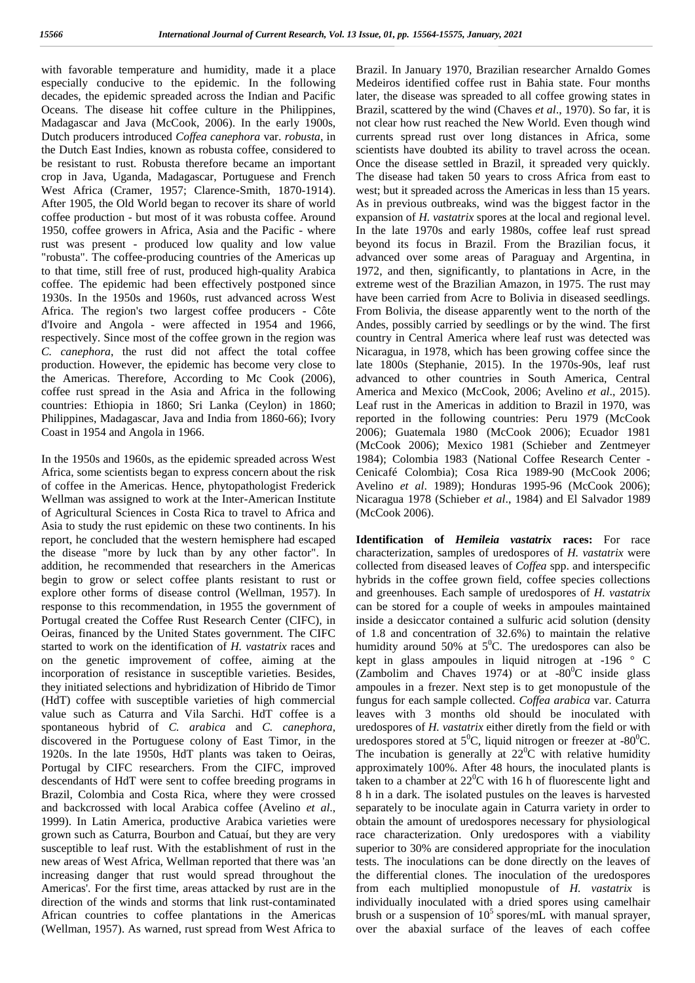with favorable temperature and humidity, made it a place especially conducive to the epidemic. In the following decades, the epidemic spreaded across the Indian and Pacific Oceans. The disease hit coffee culture in the Philippines, Madagascar and Java (McCook, 2006). In the early 1900s, Dutch producers introduced *Coffea canephora* var. *robusta*, in the Dutch East Indies, known as robusta coffee, considered to be resistant to rust. Robusta therefore became an important crop in Java, Uganda, Madagascar, Portuguese and French West Africa (Cramer, 1957; Clarence-Smith, 1870-1914). After 1905, the Old World began to recover its share of world coffee production - but most of it was robusta coffee. Around 1950, coffee growers in Africa, Asia and the Pacific - where rust was present - produced low quality and low value "robusta". The coffee-producing countries of the Americas up to that time, still free of rust, produced high-quality Arabica coffee. The epidemic had been effectively postponed since 1930s. In the 1950s and 1960s, rust advanced across West Africa. The region's two largest coffee producers - Côte d'Ivoire and Angola - were affected in 1954 and 1966, respectively. Since most of the coffee grown in the region was *C. canephora*, the rust did not affect the total coffee production. However, the epidemic has become very close to the Americas. Therefore, According to Mc Cook (2006), coffee rust spread in the Asia and Africa in the following countries: Ethiopia in 1860; Sri Lanka (Ceylon) in 1860; Philippines, Madagascar, Java and India from 1860-66); Ivory Coast in 1954 and Angola in 1966.

In the 1950s and 1960s, as the epidemic spreaded across West Africa, some scientists began to express concern about the risk of coffee in the Americas. Hence, phytopathologist Frederick Wellman was assigned to work at the Inter-American Institute of Agricultural Sciences in Costa Rica to travel to Africa and Asia to study the rust epidemic on these two continents. In his report, he concluded that the western hemisphere had escaped the disease "more by luck than by any other factor". In addition, he recommended that researchers in the Americas begin to grow or select coffee plants resistant to rust or explore other forms of disease control (Wellman, 1957). In response to this recommendation, in 1955 the government of Portugal created the Coffee Rust Research Center (CIFC), in Oeiras, financed by the United States government. The CIFC started to work on the identification of *H. vastatrix* races and on the genetic improvement of coffee, aiming at the incorporation of resistance in susceptible varieties. Besides, they initiated selections and hybridization of Hibrido de Timor (HdT) coffee with susceptible varieties of high commercial value such as Caturra and Vila Sarchi. HdT coffee is a spontaneous hybrid of *C. arabica* and *C. canephora*, discovered in the Portuguese colony of East Timor, in the 1920s. In the late 1950s, HdT plants was taken to Oeiras, Portugal by CIFC researchers. From the CIFC, improved descendants of HdT were sent to coffee breeding programs in Brazil, Colombia and Costa Rica, where they were crossed and backcrossed with local Arabica coffee (Avelino *et al*., 1999). In Latin America, productive Arabica varieties were grown such as Caturra, Bourbon and Catuaí, but they are very susceptible to leaf rust. With the establishment of rust in the new areas of West Africa, Wellman reported that there was 'an increasing danger that rust would spread throughout the Americas'. For the first time, areas attacked by rust are in the direction of the winds and storms that link rust-contaminated African countries to coffee plantations in the Americas (Wellman, 1957). As warned, rust spread from West Africa to

Brazil. In January 1970, Brazilian researcher Arnaldo Gomes Medeiros identified coffee rust in Bahia state. Four months later, the disease was spreaded to all coffee growing states in Brazil, scattered by the wind (Chaves *et al*., 1970). So far, it is not clear how rust reached the New World. Even though wind currents spread rust over long distances in Africa, some scientists have doubted its ability to travel across the ocean. Once the disease settled in Brazil, it spreaded very quickly. The disease had taken 50 years to cross Africa from east to west; but it spreaded across the Americas in less than 15 years. As in previous outbreaks, wind was the biggest factor in the expansion of *H. vastatrix* spores at the local and regional level. In the late 1970s and early 1980s, coffee leaf rust spread beyond its focus in Brazil. From the Brazilian focus, it advanced over some areas of Paraguay and Argentina, in 1972, and then, significantly, to plantations in Acre, in the extreme west of the Brazilian Amazon, in 1975. The rust may have been carried from Acre to Bolivia in diseased seedlings. From Bolivia, the disease apparently went to the north of the Andes, possibly carried by seedlings or by the wind. The first country in Central America where leaf rust was detected was Nicaragua, in 1978, which has been growing coffee since the late 1800s (Stephanie, 2015). In the 1970s-90s, leaf rust advanced to other countries in South America, Central America and Mexico (McCook, 2006; Avelino *et al*., 2015). Leaf rust in the Americas in addition to Brazil in 1970, was reported in the following countries: Peru 1979 (McCook 2006); Guatemala 1980 (McCook 2006); Ecuador 1981 (McCook 2006); Mexico 1981 (Schieber and Zentmeyer 1984); Colombia 1983 (National Coffee Research Center - Cenicafé Colombia); Cosa Rica 1989-90 (McCook 2006; Avelino *et al*. 1989); Honduras 1995-96 (McCook 2006); Nicaragua 1978 (Schieber *et al*., 1984) and El Salvador 1989 (McCook 2006).

**Identification of** *Hemileia vastatrix* **races:** For race characterization, samples of uredospores of *H. vastatrix* were collected from diseased leaves of *Coffea* spp. and interspecific hybrids in the coffee grown field, coffee species collections and greenhouses. Each sample of uredospores of *H. vastatrix* can be stored for a couple of weeks in ampoules maintained inside a desiccator contained a sulfuric acid solution (density of 1.8 and concentration of 32.6%) to maintain the relative humidity around 50% at  $5^{\circ}$ C. The uredospores can also be kept in glass ampoules in liquid nitrogen at -196 ° C (Zambolim and Chaves 1974) or at  $-80^{\circ}$ C inside glass ampoules in a frezer. Next step is to get monopustule of the fungus for each sample collected. *Coffea arabica* var. Caturra leaves with 3 months old should be inoculated with uredospores of *H. vastatrix* either diretly from the field or with uredospores stored at  $5^0C$ , liquid nitrogen or freezer at -80<sup>0</sup>C. The incubation is generally at  $22^{\circ}$ C with relative humidity approximately 100%. After 48 hours, the inoculated plants is taken to a chamber at  $22^{\circ}$ C with 16 h of fluorescente light and 8 h in a dark. The isolated pustules on the leaves is harvested separately to be inoculate again in Caturra variety in order to obtain the amount of uredospores necessary for physiological race characterization. Only uredospores with a viability superior to 30% are considered appropriate for the inoculation tests. The inoculations can be done directly on the leaves of the differential clones. The inoculation of the uredospores from each multiplied monopustule of *H. vastatrix* is individually inoculated with a dried spores using camelhair brush or a suspension of  $10^5$  spores/mL with manual sprayer, over the abaxial surface of the leaves of each coffee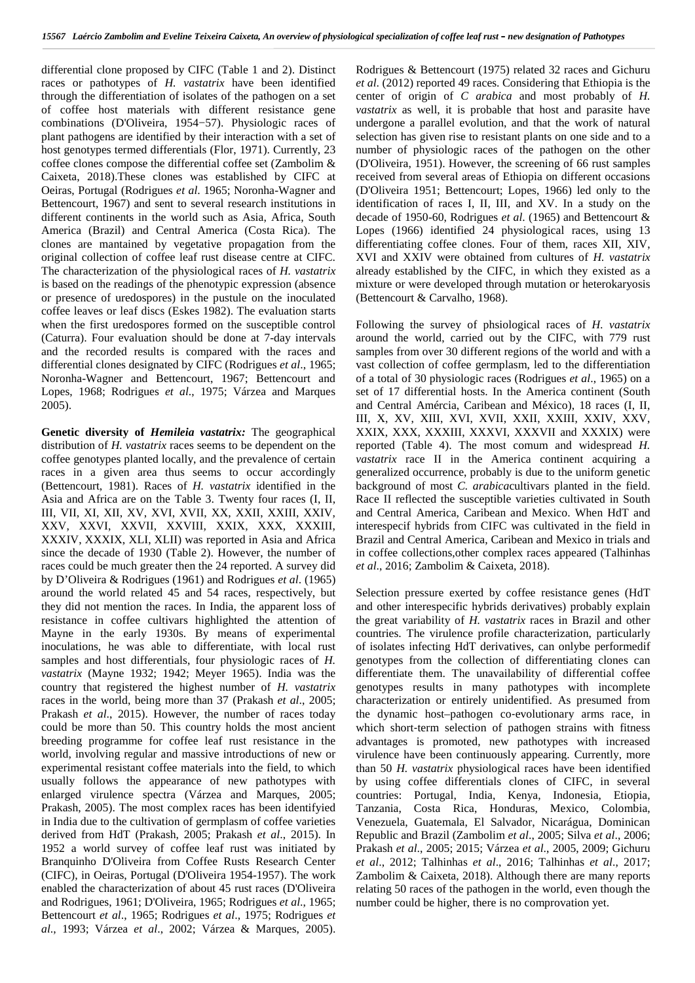differential clone proposed by CIFC (Table 1 and 2). Distinct races or pathotypes of *H. vastatrix* have been identified through the differentiation of isolates of the pathogen on a set of coffee host materials with different resistance gene combinations (D'Oliveira, 1954−57). Physiologic races of plant pathogens are identified by their interaction with a set of host genotypes termed differentials (Flor, 1971). Currently, 23 coffee clones compose the differential coffee set (Zambolim & Caixeta, 2018).These clones was established by CIFC at Oeiras, Portugal (Rodrigues *et al*. 1965; Noronha-Wagner and Bettencourt, 1967) and sent to several research institutions in different continents in the world such as Asia, Africa, South America (Brazil) and Central America (Costa Rica). The clones are mantained by vegetative propagation from the original collection of coffee leaf rust disease centre at CIFC. The characterization of the physiological races of *H. vastatrix* is based on the readings of the phenotypic expression (absence or presence of uredospores) in the pustule on the inoculated coffee leaves or leaf discs (Eskes 1982). The evaluation starts when the first uredospores formed on the susceptible control (Caturra). Four evaluation should be done at 7-day intervals and the recorded results is compared with the races and differential clones designated by CIFC (Rodrigues *et al*., 1965; Noronha-Wagner and Bettencourt, 1967; Bettencourt and Lopes, 1968; Rodrigues *et al*., 1975; Várzea and Marques 2005).

**Genetic diversity of** *Hemileia vastatrix:* The geographical distribution of *H. vastatrix* races seems to be dependent on the coffee genotypes planted locally, and the prevalence of certain races in a given area thus seems to occur accordingly (Bettencourt, 1981). Races of *H. vastatrix* identified in the Asia and Africa are on the Table 3. Twenty four races (I, II, III, VII, XI, XII, XV, XVI, XVII, XX, XXII, XXIII, XXIV, XXV, XXVI, XXVII, XXVIII, XXIX, XXX, XXXIII, XXXIV, XXXIX, XLI, XLII) was reported in Asia and Africa since the decade of 1930 (Table 2). However, the number of races could be much greater then the 24 reported. A survey did by D'Oliveira & Rodrigues (1961) and Rodrigues *et al*. (1965) around the world related 45 and 54 races, respectively, but they did not mention the races. In India, the apparent loss of resistance in coffee cultivars highlighted the attention of Mayne in the early 1930s. By means of experimental inoculations, he was able to differentiate, with local rust samples and host differentials, four physiologic races of *H. vastatrix* (Mayne 1932; 1942; Meyer 1965). India was the country that registered the highest number of *H. vastatrix* races in the world, being more than 37 (Prakash *et al*., 2005; Prakash *et al*., 2015). However, the number of races today could be more than 50. This country holds the most ancient breeding programme for coffee leaf rust resistance in the world, involving regular and massive introductions of new or experimental resistant coffee materials into the field, to which usually follows the appearance of new pathotypes with enlarged virulence spectra (Várzea and Marques, 2005; Prakash, 2005). The most complex races has been identifyied in India due to the cultivation of germplasm of coffee varieties derived from HdT (Prakash, 2005; Prakash *et al*., 2015). In 1952 a world survey of coffee leaf rust was initiated by Branquinho D'Oliveira from Coffee Rusts Research Center (CIFC), in Oeiras, Portugal (D'Oliveira 1954-1957). The work enabled the characterization of about 45 rust races (D'Oliveira and Rodrigues, 1961; D'Oliveira, 1965; Rodrigues *et al*., 1965; Bettencourt *et al*., 1965; Rodrigues *et al*., 1975; Rodrigues *et al*., 1993; Várzea *et al*., 2002; Várzea & Marques, 2005).

Rodrigues & Bettencourt (1975) related 32 races and Gichuru *et al*. (2012) reported 49 races. Considering that Ethiopia is the center of origin of *C arabica* and most probably of *H. vastatrix* as well, it is probable that host and parasite have undergone a parallel evolution, and that the work of natural selection has given rise to resistant plants on one side and to a number of physiologic races of the pathogen on the other (D'Oliveira, 1951). However, the screening of 66 rust samples received from several areas of Ethiopia on different occasions (D'Oliveira 1951; Bettencourt; Lopes, 1966) led only to the identification of races I, II, III, and XV. In a study on the decade of 1950-60, Rodrigues *et al*. (1965) and Bettencourt & Lopes (1966) identified 24 physiological races, using 13 differentiating coffee clones. Four of them, races XII, XIV, XVI and XXIV were obtained from cultures of *H. vastatrix* already established by the CIFC, in which they existed as a mixture or were developed through mutation or heterokaryosis (Bettencourt & Carvalho, 1968).

Following the survey of phsiological races of *H. vastatrix* around the world, carried out by the CIFC, with 779 rust samples from over 30 different regions of the world and with a vast collection of coffee germplasm, led to the differentiation of a total of 30 physiologic races (Rodrigues *et al*., 1965) on a set of 17 differential hosts. In the America continent (South and Central Amércia, Caribean and México), 18 races (I, II, III, X, XV, XIII, XVI, XVII, XXII, XXIII, XXIV, XXV, XXIX, XXX, XXXIII, XXXVI, XXXVII and XXXIX) were reported (Table 4). The most comum and widespread *H. vastatrix* race II in the America continent acquiring a generalized occurrence, probably is due to the uniform genetic background of most *C. arabica*cultivars planted in the field. Race II reflected the susceptible varieties cultivated in South and Central America, Caribean and Mexico. When HdT and interespecif hybrids from CIFC was cultivated in the field in Brazil and Central America, Caribean and Mexico in trials and in coffee collections,other complex races appeared (Talhinhas *et al*., 2016; Zambolim & Caixeta, 2018).

Selection pressure exerted by coffee resistance genes (HdT and other interespecific hybrids derivatives) probably explain the great variability of *H. vastatrix* races in Brazil and other countries. The virulence profile characterization, particularly of isolates infecting HdT derivatives, can onlybe performedif genotypes from the collection of differentiating clones can differentiate them. The unavailability of differential coffee genotypes results in many pathotypes with incomplete characterization or entirely unidentified. As presumed from the dynamic host–pathogen co‐evolutionary arms race, in which short-term selection of pathogen strains with fitness advantages is promoted, new pathotypes with increased virulence have been continuously appearing. Currently, more than 50 *H. vastatrix* physiological races have been identified by using coffee differentials clones of CIFC, in several countries: Portugal, India, Kenya, Indonesia, Etiopia, Tanzania, Costa Rica, Honduras, Mexico, Colombia, Venezuela, Guatemala, El Salvador, Nicarágua, Dominican Republic and Brazil (Zambolim *et al*., 2005; Silva *et al*., 2006; Prakash *et al*., 2005; 2015; Várzea *et al*., 2005, 2009; Gichuru *et al*., 2012; Talhinhas *et al*., 2016; Talhinhas *et al*., 2017; Zambolim & Caixeta, 2018). Although there are many reports relating 50 races of the pathogen in the world, even though the number could be higher, there is no comprovation yet.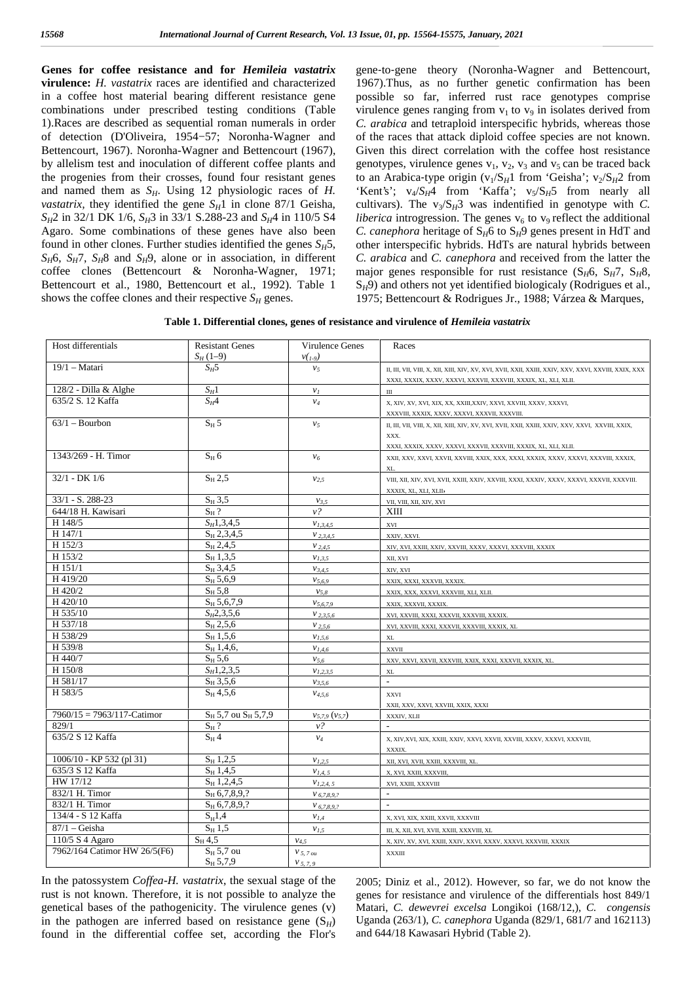**Genes for coffee resistance and for** *Hemileia vastatrix* **virulence:** *H. vastatrix* races are identified and characterized in a coffee host material bearing different resistance gene combinations under prescribed testing conditions (Table 1).Races are described as sequential roman numerals in order of detection (D'Oliveira, 1954−57; Noronha‐Wagner and Bettencourt, 1967). Noronha-Wagner and Bettencourt (1967), by allelism test and inoculation of different coffee plants and the progenies from their crosses, found four resistant genes and named them as *SH*. Using 12 physiologic races of *H. vastatrix,* they identified the gene  $S_H1$  in clone 87/1 Geisha, *SH*2 in 32/1 DK 1/6, *SH*3 in 33/1 S.288-23 and *SH*4 in 110/5 S4 Agaro. Some combinations of these genes have also been found in other clones. Further studies identified the genes  $S_H 5$ ,  $S_H$ 6,  $S_H$ 7,  $S_H$ 8 and  $S_H$ 9, alone or in association, in different coffee clones (Bettencourt & Noronha-Wagner, 1971; Bettencourt et al., 1980, Bettencourt et al., 1992). Table 1 shows the coffee clones and their respective  $S_H$  genes.

gene‐to‐gene theory (Noronha-Wagner and Bettencourt, 1967).Thus, as no further genetic confirmation has been possible so far, inferred rust race genotypes comprise virulence genes ranging from  $v_1$  to  $v_9$  in isolates derived from *C. arabica* and tetraploid interspecific hybrids, whereas those of the races that attack diploid coffee species are not known. Given this direct correlation with the coffee host resistance genotypes, virulence genes  $v_1$ ,  $v_2$ ,  $v_3$  and  $v_5$  can be traced back to an Arabica-type origin  $(v_1/S_H1$  from 'Geisha';  $v_2/S_H2$  from 'Kent's';  $v_4/S_H4$  from 'Kaffa';  $v_5/S_H5$  from nearly all cultivars). The  $v_3/S_H3$  was indentified in genotype with *C*. *liberica* introgression. The genes  $v_6$  to  $v_9$  reflect the additional *C. canephora* heritage of  $S_H6$  to  $S_H9$  genes present in HdT and other interspecific hybrids. HdTs are natural hybrids between *C. arabica* and *C. canephora* and received from the latter the major genes responsible for rust resistance  $(S_HG, S_H7, S_H8, S_H7)$ S<sub>H</sub>9) and others not yet identified biologicaly (Rodrigues et al., 1975; Bettencourt & Rodrigues Jr., 1988; Várzea & Marques,

**Table 1. Differential clones, genes of resistance and virulence of** *Hemileia vastatrix*

| Host differentials            | <b>Resistant Genes</b>      | Virulence Genes           | Races                                                                                                               |
|-------------------------------|-----------------------------|---------------------------|---------------------------------------------------------------------------------------------------------------------|
|                               | $S_H(1-9)$                  | $v(r_0)$                  |                                                                                                                     |
| $19/1 - Matari$               | $S_H5$                      | v <sub>5</sub>            | XXXI, XXXIX, XXXV, XXXVI, XXXVII, XXXVIII, XXXIX, XL, XLI, XLII.                                                    |
| 128/2 - Dilla & Alghe         | $S_H1$                      | $v_I$                     | Ш                                                                                                                   |
| 635/2 S. 12 Kaffa             | $S_H4$                      | $v_4$                     | X, XIV, XV, XVI, XIX, XX, XXIII, XXIV, XXVI, XXVIII, XXXV, XXXVI,                                                   |
|                               |                             |                           | XXXVIII, XXXIX, XXXV, XXXVI, XXXVII, XXXVIII.                                                                       |
| $63/1 -$ Bourbon              | $S_H$ 5                     | v <sub>5</sub>            | XXX.<br>XXXI, XXXIX, XXXV, XXXVI, XXXVII, XXXVIII, XXXIX, XL, XLI, XLII.                                            |
| 1343/269 - H. Timor           | $S_H$ 6                     | $v_6$                     | XL.                                                                                                                 |
| $32/1 - DK 1/6$               | $S_H$ 2,5                   | $v_{2,5}$                 | VIII, XII, XIV, XVI, XVII, XXIII, XXIV, XXVIII, XXXI, XXXIV, XXXV, XXXVI, XXXVII, XXXVIII.<br>XXXIX, XL, XLI, XLII, |
| $33/1 - S. 288 - 23$          | $S_H$ 3,5                   | $v_{3.5}$                 | VII, VIII, XII, XIV, XVI                                                                                            |
| 644/18 H. Kawisari            | $S_H$ ?                     | $v$ ?                     | XIII                                                                                                                |
| H 148/5                       | $S_H$ 1,3,4,5               | $V_{I,3,4,5}$             | XVI                                                                                                                 |
| H 147/1                       | $S_H$ 2,3,4,5               | $V_{2,3,4,5}$             | XXIV, XXVI.                                                                                                         |
| H 152/3                       | $S_H$ 2,4,5                 | $V_{2,4,5}$               | XIV, XVI, XXIII, XXIV, XXVIII, XXXV, XXXVI, XXXVIII, XXXIX                                                          |
| H 153/2                       | $S_H$ 1,3,5                 | $V_{I,3,5}$               | XII, XVI                                                                                                            |
| H 151/1                       | $S_H$ 3,4,5                 | $V_{3,4,5}$               | XIV, XVI                                                                                                            |
| H 419/20                      | $S_H 5, 6, 9$               | $V_{5,6,9}$               | XXIX, XXXI, XXXVII, XXXIX.                                                                                          |
| H 420/2                       | $S_H$ 5,8                   | $v_{5,8}$                 | XXIX, XXX, XXXVI, XXXVIII, XLI, XLII.                                                                               |
| H 420/10                      | $S_H$ 5,6,7,9               | $V_{5,6,7,9}$             | XXIX, XXXVII, XXXIX.                                                                                                |
| H 535/10                      | $S_H2, 3, 5, 6$             | $V$ 2.3.5.6               | XVI, XXVIII, XXXI, XXXVII, XXXVIII, XXXIX.                                                                          |
| H 537/18                      | $S_H 2, 5, 6$               | $V_{2,5,6}$               | XVI, XXVIII, XXXI, XXXVII, XXXVIII, XXXIX, XL                                                                       |
| H 538/29                      | $S_H$ 1,5,6                 | $v_{1,5,6}$               | $\mathbf{XL}$                                                                                                       |
| H 539/8                       | $S_H$ 1,4,6,                | $v_{1,4,6}$               | XXVII                                                                                                               |
| H 440/7                       | $S_H$ 5,6                   | $v_{5,6}$                 | XXV, XXVI, XXVII, XXXVIII, XXIX, XXXI, XXXVII, XXXIX, XL.                                                           |
| H 150/8                       | $S_H1, 2, 3, 5$             | $V_{I,2,3,5}$             | XL                                                                                                                  |
| H 581/17                      | $S_H$ 3,5,6                 | $v_{3.5.6}$               | $\mathcal{L}^{\mathcal{L}}$                                                                                         |
| H 583/5                       | $S_H$ 4,5,6                 | $V_{4,5,6}$               | XXVI                                                                                                                |
|                               |                             |                           | XXII, XXV, XXVI, XXVIII, XXIX, XXXI                                                                                 |
| $7960/15 = 7963/117$ -Catimor | $S_H$ 5,7 ou $S_H$ 5,7,9    | $v_{5,7,9}$ ( $v_{5,7}$ ) | XXXIV, XLII                                                                                                         |
| 829/1                         | $\mathrm{S}_{\mathrm{H}}$ ? | $v$ ?                     | $\overline{\phantom{a}}$                                                                                            |
| 635/2 S 12 Kaffa              | $S_H$ 4                     | $v_4$                     | X, XIV, XVI, XIX, XXIII, XXIV, XXVI, XXVII, XXVIII, XXXV, XXXVI, XXXVIII,                                           |
|                               |                             |                           | XXXIX.                                                                                                              |
| 1006/10 - KP 532 (pl 31)      | $S_H$ 1,2,5                 | $V_{1,2,5}$               | XII, XVI, XVII, XXIII, XXXVIII, XL.                                                                                 |
| 635/3 S 12 Kaffa              | $S_H$ 1,4,5                 | $V_{I.4.5}$               | X, XVI, XXIII, XXXVIII,                                                                                             |
| HW 17/12                      | $S_H$ 1,2,4,5               | $V_{1,2,4,5}$             | XVI, XXIII, XXXVIII                                                                                                 |
| 832/1 H. Timor                | $S_H$ 6,7,8,9,?             | $V$ 6, 7, 8, 9, ?         | $\sim$                                                                                                              |
| 832/1 H. Timor                | $S_H$ 6,7,8,9,?             | $V$ 6, 7, 8, 9, ?         | $\mathcal{L}$                                                                                                       |
| 134/4 - S 12 Kaffa            | $S_{H}1,4$                  | $v_{I,4}$                 | X, XVI, XIX, XXIII, XXVII, XXXVIII                                                                                  |
| $87/1$ – Geisha               | $S_H$ 1,5                   | $v_{I,5}$                 | III, X, XII, XVI, XVII, XXIII, XXXVIII, XL                                                                          |
| 110/5 S 4 Agaro               | $S_H$ 4.5                   | $V_{4,5}$                 | X, XIV, XV, XVI, XXIII, XXIV, XXVI, XXXV, XXXVI, XXXVIII, XXXIX                                                     |
| 7962/164 Catimor HW 26/5(F6)  | $S_H$ 5,7 ou                | $V$ 5, 7 ou               | <b>XXXIII</b>                                                                                                       |
|                               | $S_H 5,7,9$                 | $V$ 5, 7, 9               |                                                                                                                     |

In the patossystem *Coffea*-*H. vastatrix*, the sexual stage of the rust is not known. Therefore, it is not possible to analyze the genetical bases of the pathogenicity. The virulence genes (v) in the pathogen are inferred based on resistance gene  $(S_H)$ found in the differential coffee set, according the Flor's

2005; Diniz et al., 2012). However, so far, we do not know the genes for resistance and virulence of the differentials host 849/1 Matari, *C. dewevrei excelsa* Longikoi (168/12,), *C. congensis* Uganda (263/1), *C. canephora* Uganda (829/1, 681/7 and 162113) and 644/18 Kawasari Hybrid (Table 2).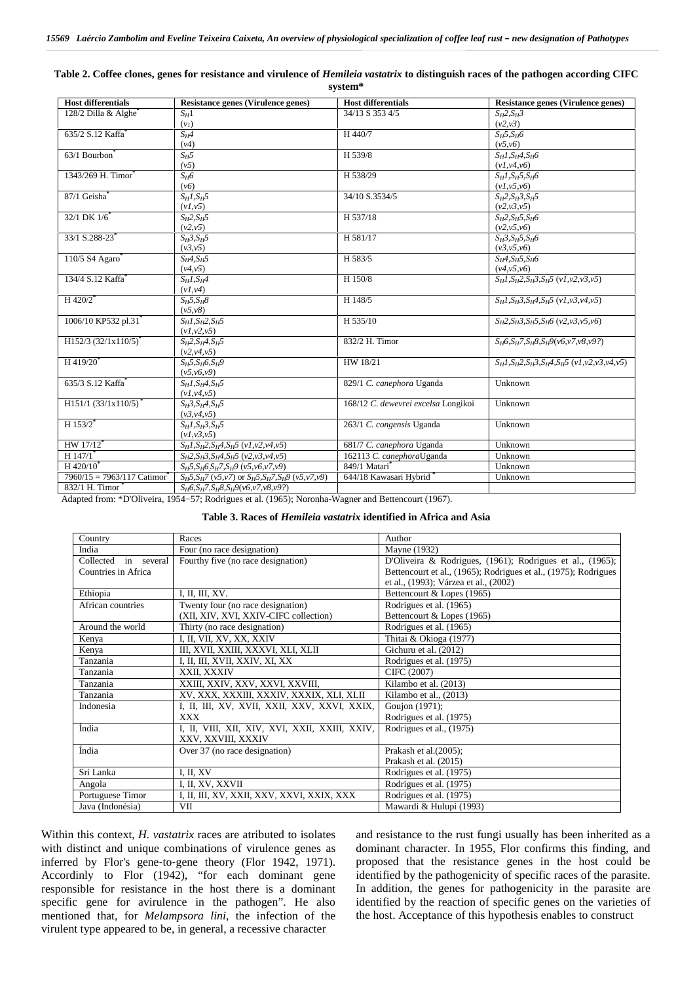| <b>Host differentials</b>            | Resistance genes (Virulence genes)                                  | <b>Host differentials</b>           | Resistance genes (Virulence genes)                  |
|--------------------------------------|---------------------------------------------------------------------|-------------------------------------|-----------------------------------------------------|
| 128/2 Dilla & Alghe <sup>*</sup>     | $S_H1$                                                              | 34/13 S 353 4/5                     | $S_H2, S_H3$                                        |
|                                      | (v <sub>l</sub> )                                                   |                                     | (v2,v3)                                             |
| 635/2 S.12 Kaffa                     | $S_H4$                                                              | H 440/7                             | $S_H$ 5, $S_H$ 6                                    |
|                                      | (v4)                                                                |                                     | (v5,v6)                                             |
| 63/1 Bourbon                         | $S_H5$                                                              | H 539/8                             | $S_HI, S_H4, S_H6$                                  |
|                                      | (v5)                                                                |                                     | (v1, v4, v6)                                        |
| 1343/269 H. Timor <sup>*</sup>       | $S_H6$                                                              | H 538/29                            | $S_H1, S_H5, S_H6$                                  |
|                                      | (v6)                                                                |                                     | (v1, v5, v6)                                        |
| 87/1 Geisha <sup>*</sup>             | $S_H1, S_H5$                                                        | 34/10 S.3534/5                      | $S_H2, S_H3, S_H5$                                  |
|                                      | (v1, v5)                                                            |                                     | (v2, v3, v5)                                        |
| $32/1$ DK $1/6^*$                    | $S_H2, S_H5$                                                        | H 537/18                            | $S_H2, S_H5, S_H6$                                  |
|                                      | (v2,v5)                                                             |                                     | (v2, v5, v6)                                        |
| 33/1 S.288-23 <sup>*</sup>           | $S_H$ 3, $S_H$ 5                                                    | H 581/17                            | $S_H$ 3, $S_H$ 5, $S_H$ 6                           |
|                                      | (v3, v5)                                                            |                                     | (v3, v5, v6)                                        |
| 110/5 S4 Agaro                       | $S_H4, S_H5$                                                        | H 583/5                             | $S_H4, S_H5, S_H6$                                  |
|                                      | (v4, v5)                                                            |                                     | (v4, v5, v6)                                        |
| 134/4 S.12 Kaffa                     | $S_HI, S_H4$                                                        | H 150/8                             | $S_H1, S_H2, S_H3, S_H5$ (v1, v2, v3, v5)           |
|                                      | (v1, v4)                                                            |                                     |                                                     |
| H 420/2 <sup>*</sup>                 | $S_H$ 5, $S_H$ 8                                                    | H 148/5                             | $S_H1, S_H3, S_H4, S_H5$ (v1, v3, v4, v5)           |
|                                      | (v5, v8)                                                            |                                     |                                                     |
| 1006/10 KP532 pl.31*                 | $S_H1, S_H2, S_H5$                                                  | H 535/10                            | $S_H2, S_H3, S_H5, S_H6$ (v2, v3, v5, v6)           |
|                                      | (v1, v2, v5)                                                        |                                     |                                                     |
| $H152/3$ (32/1x110/5) <sup>*</sup>   | $S_{H}2, S_{H}4, S_{H}5$                                            | 832/2 H. Timor                      | $S_H$ 6, $S_H$ 7, $S_H$ 8, $S_H$ 9(v6, v7, v8, v9?) |
|                                      | (v2, v4, v5)                                                        |                                     |                                                     |
| $H$ 419/20 <sup>*</sup>              | $S_H$ 5, $S_H$ 6, $S_H$ 9                                           | HW 18/21                            | $S_H1, S_H2, S_H3, S_H4, S_H5$ (v1, v2, v3, v4, v5) |
|                                      | (v5, v6, v9)                                                        |                                     |                                                     |
| 635/3 S.12 Kaffa                     | $S_HI, S_H4, S_H5$                                                  | 829/1 C. canephora Uganda           | Unknown                                             |
|                                      | (v1, v4, v5)                                                        |                                     |                                                     |
| $H151/1$ (33/1x110/5) <sup>*</sup>   | $S_H$ 3, $S_H$ 4, $S_H$ 5                                           | 168/12 C. dewevrei excelsa Longikoi | Unknown                                             |
|                                      | (v3, v4, v5)                                                        |                                     |                                                     |
| H $153/2$ <sup>*</sup>               | $S_H1, S_H3, S_H5$                                                  | 263/1 C. congensis Uganda           | Unknown                                             |
|                                      | (v1, v3, v5)                                                        |                                     |                                                     |
| $HW 17/12$ <sup>*</sup>              | $S_H1, S_H2, S_H4, S_H5$ (v1, v2, v4, v5)                           | 681/7 C. canephora Uganda           | Unknown                                             |
| $H$ 147/1 <sup>*</sup>               | $S_H2, S_H3, S_H4, S_H5$ (v2, v3, v4, v5)                           | 162113 C. canephoraUganda           | Unknown                                             |
| $H$ 420/10 <sup><math>'</math></sup> | $S_H$ 5, $S_H$ 6 $S_H$ 7, $S_H$ 9 (v5, v6, v7, v9)                  | 849/1 Matari                        | Unknown                                             |
| $7960/15 = 7963/117$ Catimor         | $S_H$ 5, $S_H$ 7 (v5, v7) or $S_H$ 5, $S_H$ 7, $S_H$ 9 (v5, v7, v9) | 644/18 Kawasari Hybrid              | Unknown                                             |
| 832/1 H. Timor                       | $S_H$ 6, $S_H$ 7, $S_H$ 8, $S_H$ 9(v6, v7, v8, v9?)                 |                                     |                                                     |

**Table 2. Coffee clones, genes for resistance and virulence of** *Hemileia vastatrix* **to distinguish races of the pathogen according CIFC system\***

Adapted from: \*D'Oliveira, 1954–57; Rodrigues et al. (1965); Noronha Wagner and Bettencourt (1967).

| Table 3. Races of <i>Hemileia vastatrix</i> identified in Africa and Asia |  |
|---------------------------------------------------------------------------|--|
|---------------------------------------------------------------------------|--|

| Country                 | Races                                          | Author                                                          |
|-------------------------|------------------------------------------------|-----------------------------------------------------------------|
| India                   | Four (no race designation)                     | Mayne (1932)                                                    |
| Collected<br>in several | Fourthy five (no race designation)             | D'Oliveira & Rodrigues, (1961); Rodrigues et al., (1965);       |
| Countries in Africa     |                                                | Bettencourt et al., (1965); Rodrigues et al., (1975); Rodrigues |
|                         |                                                | et al., (1993); Várzea et al., (2002)                           |
| Ethiopia                | I, II, III, XV.                                | Bettencourt & Lopes (1965)                                      |
| African countries       | Twenty four (no race designation)              | Rodrigues et al. (1965)                                         |
|                         | (XII, XIV, XVI, XXIV-CIFC collection)          | Bettencourt & Lopes (1965)                                      |
| Around the world        | Thirty (no race designation)                   | Rodrigues et al. (1965)                                         |
| Kenya                   | I, II, VII, XV, XX, XXIV                       | Thitai & Okioga (1977)                                          |
| Kenya                   | III, XVII, XXIII, XXXVI, XLI, XLII             | Gichuru et al. (2012)                                           |
| Tanzania                | I, II, III, XVII, XXIV, XI, XX                 | Rodrigues et al. (1975)                                         |
| Tanzania                | XXII, XXXIV                                    | CIFC (2007)                                                     |
| Tanzania                | XXIII, XXIV, XXV, XXVI, XXVIII,                | Kilambo et al. (2013)                                           |
| Tanzania                | XV, XXX, XXXIII, XXXIV, XXXIX, XLI, XLII       | Kilambo et al., (2013)                                          |
| Indonesia               | I, II, III, XV, XVII, XXII, XXV, XXVI, XXIX,   | Goujon (1971);                                                  |
|                         | <b>XXX</b>                                     | Rodrigues et al. (1975)                                         |
| Índia                   | I, II, VIII, XII, XIV, XVI, XXII, XXIII, XXIV, | Rodrigues et al., (1975)                                        |
|                         | XXV, XXVIII, XXXIV                             |                                                                 |
| Índia                   | Over 37 (no race designation)                  | Prakash et al. $(2005)$ ;                                       |
|                         |                                                | Prakash et al. (2015)                                           |
| Sri Lanka               | I, II, XV                                      | Rodrigues et al. (1975)                                         |
| Angola                  | I, II, XV, XXVII                               | Rodrigues et al. (1975)                                         |
| Portuguese Timor        | I, II, III, XV, XXII, XXV, XXVI, XXIX, XXX     | Rodrigues et al. (1975)                                         |
| Java (Indonésia)        | VII                                            | Mawardi & Hulupi (1993)                                         |

Within this context, *H. vastatrix* races are atributed to isolates with distinct and unique combinations of virulence genes as inferred by Flor's gene‐to‐gene theory (Flor 1942, 1971). Accordinly to Flor (1942), "for each dominant gene responsible for resistance in the host there is a dominant specific gene for avirulence in the pathogen". He also mentioned that, for *Melampsora lini*, the infection of the virulent type appeared to be, in general, a recessive character

and resistance to the rust fungi usually has been inherited as a dominant character. In 1955, Flor confirms this finding, and proposed that the resistance genes in the host could be identified by the pathogenicity of specific races of the parasite. In addition, the genes for pathogenicity in the parasite are identified by the reaction of specific genes on the varieties of the host. Acceptance of this hypothesis enables to construct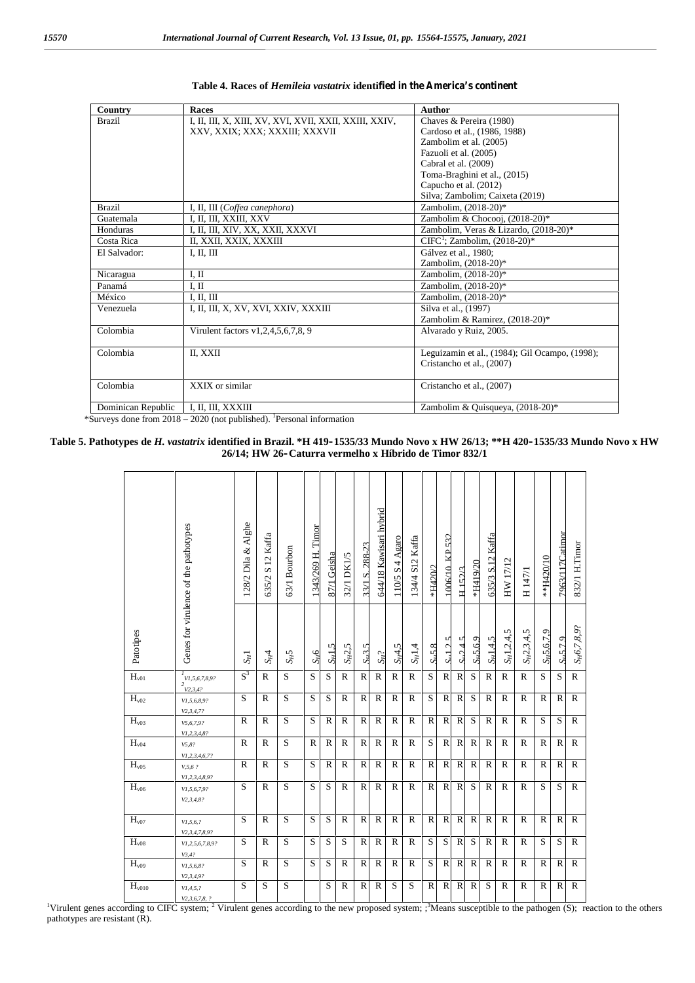| Country            | Races                                                  | Author                                         |
|--------------------|--------------------------------------------------------|------------------------------------------------|
| <b>Brazil</b>      | I, II, III, X, XIII, XV, XVI, XVII, XXII, XXIII, XXIV, | Chaves & Pereira (1980)                        |
|                    | XXV, XXIX; XXX; XXXIII; XXXVII                         | Cardoso et al., (1986, 1988)                   |
|                    |                                                        | Zambolim et al. (2005)                         |
|                    |                                                        | Fazuoli et al. (2005)                          |
|                    |                                                        | Cabral et al. (2009)                           |
|                    |                                                        | Toma-Braghini et al., (2015)                   |
|                    |                                                        | Capucho et al. (2012)                          |
|                    |                                                        | Silva; Zambolim; Caixeta (2019)                |
| <b>Brazil</b>      | I, II, III (Coffea canephora)                          | Zambolim. (2018-20)*                           |
| Guatemala          | I, II, III, XXIII, XXV                                 | Zambolim & Chocooj, (2018-20)*                 |
| Honduras           | I, II, III, XIV, XX, XXII, XXXVI                       | Zambolim, Veras & Lizardo, (2018-20)*          |
| Costa Rica         | II, XXII, XXIX, XXXIII                                 | $CIFC1$ ; Zambolim, $(2018-20)*$               |
| El Salvador:       | I, II, III                                             | Gálvez et al., 1980:                           |
|                    |                                                        | Zambolim, (2018-20)*                           |
| Nicaragua          | I, II                                                  | Zambolim, (2018-20)*                           |
| Panamá             | I, II                                                  | Zambolim, (2018-20)*                           |
| México             | I, II, III                                             | Zambolim, (2018-20)*                           |
| Venezuela          | I, II, III, X, XV, XVI, XXIV, XXXIII                   | Silva et al., (1997)                           |
|                    |                                                        | Zambolim & Ramirez, (2018-20)*                 |
| Colombia           | Virulent factors v1,2,4,5,6,7,8, 9                     | Alvarado y Ruiz, 2005.                         |
|                    |                                                        |                                                |
| Colombia           | II, XXII                                               | Leguizamin et al., (1984); Gil Ocampo, (1998); |
|                    |                                                        | Cristancho et al., (2007)                      |
|                    |                                                        |                                                |
| Colombia           | XXIX or similar                                        | Cristancho et al., (2007)                      |
|                    |                                                        |                                                |
| Dominican Republic | I, II, III, XXXIII                                     | Zambolim & Quisqueya, (2018-20)*               |

#### **Table 4. Races of** *Hemileia vastatrix* **identified in the America's continent**

\*Surveys done from 2018 – 2020 (not published). <sup>1</sup>Personal information

**F** 

#### **Table 5. Pathotypes de** *H. vastatrix* **identified in Brazil. \*H 419–1535/33 Mundo Novo x HW 26/13; \*\*H 420–1535/33 Mundo Novo x HW 26/14; HW 26–Caturra vermelho x Híbrido de Timor 832/1**

|                             | Genes for virulence of the pathotypes                        | 128/2 Dila & Alghe | 635/2 S 12 Kaffa | 63/1 Bourbon | Timor<br>1343/269 H | 87/1 Geisha  | 32/1 DK1/5   | 33/1 S. 288-23    | 544/18 Kawisari hybrid | $110/5$ S 4 Agaro | 134/4 S12 Kaffa | *H420/2            | 1006/10 KP 532       | $H$ 152/3            | *H419/20             | Kaffa<br>635/3 S.12 | HW 17/12        | H $147/1$    | **H420/10     | 7963/117Catimor     | 832/1 H.Timor           |
|-----------------------------|--------------------------------------------------------------|--------------------|------------------|--------------|---------------------|--------------|--------------|-------------------|------------------------|-------------------|-----------------|--------------------|----------------------|----------------------|----------------------|---------------------|-----------------|--------------|---------------|---------------------|-------------------------|
| Patotipes                   |                                                              | $S_H1$             | $S_H$ 4          | $S_H5$       | $S_H6$              | $S_H$ 1.5    | $S_H2,5$     | S <sub>u3.5</sub> | $S_H$ ?                | $S_H$ 4,5         | $S_H1,4$        | S <sub>H</sub> 5.8 | v<br>S <sub>11</sub> | v<br>$Sr$ 2 $\Delta$ | S <sub>u</sub> 5.6.9 | $S_H1.4.5$          | $S_H1, 2, 4, 5$ | $S_H2,3,4,5$ | $S_H$ 5,6,7,9 | S <sub>r5.7.9</sub> | S <sub>H</sub> 6,7,8,9? |
| $\mathbf{H}_{\mathrm{v01}}$ | $\frac{1}{N}V1, 5, 6, 7, 8, 9?$<br>$^{2}$ <sub>V2,3,4?</sub> | $S^3$              | $\mathbb{R}$     | S            | S                   | S            | $\mathbb{R}$ | $\mathbb{R}$      | $\mathbb{R}$           | $\mathbb{R}$      | $\mathbb{R}$    | S                  | $\mathbb{R}$         | $\mathbf R$          | S                    | $\mathbb{R}$        | $\mathbb{R}$    | $\mathbb{R}$ | S             | S                   | $\mathbb{R}$            |
| H <sub>v02</sub>            | VI, 5, 6, 8, 9?<br>V2, 3, 4, 7?                              | S                  | $\mathbb{R}$     | S            | S                   | S            | $\mathbb{R}$ | $\mathbb{R}$      | $\mathbb{R}$           | $\mathbb{R}$      | $\mathbb{R}$    | S                  | $\mathbb{R}$         | $\mathbb{R}$         | S                    | $\mathbb{R}$        | $\mathbb{R}$    | $\mathbb{R}$ | $\mathbb{R}$  | $\mathbb{R}$        | $\mathbb{R}$            |
| H <sub>v03</sub>            | V5, 6, 7, 9?                                                 | $\mathbb{R}$       | R                | S            | S                   | $\mathbb{R}$ | $\mathbb{R}$ | $\mathbb{R}$      | $\mathbb{R}$           | $\mathbf R$       | $\mathbb{R}$    | $\mathbb{R}$       | $\mathbb{R}$         | $\mathbf R$          | S                    | $\mathbb{R}$        | $\mathbb{R}$    | $\mathbb{R}$ | S             | S                   | $\mathbb{R}$            |
| $H_{v04}$                   | VI, 2, 3, 4, 8?<br>V5, 8?                                    | $\mathbb{R}$       | $\mathbb{R}$     | S            | $\mathbb{R}$        | $\mathbb{R}$ | $\mathbb{R}$ | $\mathbb{R}$      | $\mathbb{R}$           | $\mathbf R$       | $\mathbb{R}$    | S                  | $\mathbb{R}$         | $\mathbf R$          | $\mathbb{R}$         | $\mathbf R$         | $\mathbb{R}$    | $\mathbb{R}$ | $\mathbb{R}$  | $\mathbb{R}$        | $\mathbb{R}$            |
| H <sub>v05</sub>            | $VI$ , 2, 3, 4, 6, 7?<br>V, 5, 6, ?                          | $\mathbb{R}$       | $\mathbb{R}$     | S            | S                   | $\mathbb{R}$ | $\mathbb{R}$ | $\mathbb{R}$      | $\mathbb{R}$           | $\mathbb{R}$      | $\mathbb{R}$    | $\mathbb{R}$       | $\mathbb{R}$         | $\mathbf R$          | $\mathbb{R}$         | $\mathbb{R}$        | $\mathbb{R}$    | $\mathbb{R}$ | $\mathbb{R}$  | $\mathbb{R}$        | $\mathbf R$             |
| H <sub>v06</sub>            | VI, 2, 3, 4, 8, 9?<br>VI, 5, 6, 7, 9?<br>V2, 3, 4, 8?        | S                  | $\mathbb{R}$     | S            | S                   | S            | $\mathbb{R}$ | $\mathbb{R}$      | $\mathbb{R}$           | $\mathbf R$       | $\mathbb{R}$    | $\mathbb{R}$       | $\mathbf R$          | $\mathbb{R}$         | S                    | $\mathbb{R}$        | $\mathbb{R}$    | $\mathbb{R}$ | S             | S                   | $\mathbb{R}$            |
| H <sub>v07</sub>            | VI, 5, 6, ?                                                  | S                  | $\mathbb{R}$     | S            | S                   | S            | $\mathbb{R}$ | $\mathbb{R}$      | $\mathbb{R}$           | $\mathbb{R}$      | $\mathbb{R}$    | $\mathbb{R}$       | $\mathbb{R}$         | $\mathbf R$          | $\mathbb{R}$         | $\mathbb{R}$        | $\mathbb{R}$    | $\mathbb{R}$ | $\mathbb{R}$  | $\mathbb{R}$        | $\mathbb{R}$            |
| $\rm H_{v08}$               | V2, 3, 4, 7, 8, 9?<br>V1, 2, 5, 6, 7, 8, 9?                  | S                  | $\mathbb{R}$     | S            | S                   | S            | S            | $\mathbb{R}$      | $\mathbb{R}$           | $\mathbb{R}$      | $\mathbb{R}$    | ${\bf S}$          | S                    | $\mathbf R$          | S                    | $\mathbb{R}$        | $\mathbb{R}$    | $\mathbb{R}$ | S             | S                   | $\mathbb{R}$            |
| H <sub>v09</sub>            | V3,4?<br>VI, 5, 6, 8?                                        | S                  | R                | S            | S                   | S            | $\mathbb{R}$ | $\mathbb{R}$      | $\mathbb{R}$           | $\mathbb{R}$      | $\mathbb{R}$    | S                  | $\mathbb{R}$         | $\mathbb{R}$         | $\mathbb{R}$         | $\mathbb{R}$        | $\mathbb{R}$    | $\mathbb{R}$ | $\mathbb{R}$  | $\mathbb{R}$        | $\mathbb{R}$            |
| H <sub>v010</sub>           | V2, 3, 4, 9?<br>VI, 4, 5, ?                                  | S                  | S                | S            |                     | S            | $\mathbb{R}$ | $\mathbb{R}$      | $\mathbb{R}$           | S                 | S               | $\mathbb{R}$       | $\mathbb{R}$         | $\mathbb{R}$         | $\mathbb{R}$         | S                   | $\mathbb{R}$    | $\mathbb{R}$ | $\mathbb{R}$  | $\mathbb{R}$        | $\mathbb{R}$            |

<sup>1</sup>Virulent genes according to CIFC system; <sup>2</sup> Virulent genes according to the new proposed system; ;<sup>3</sup>Means susceptible to the pathogen (S); reaction to the others pathotypes are resistant (R).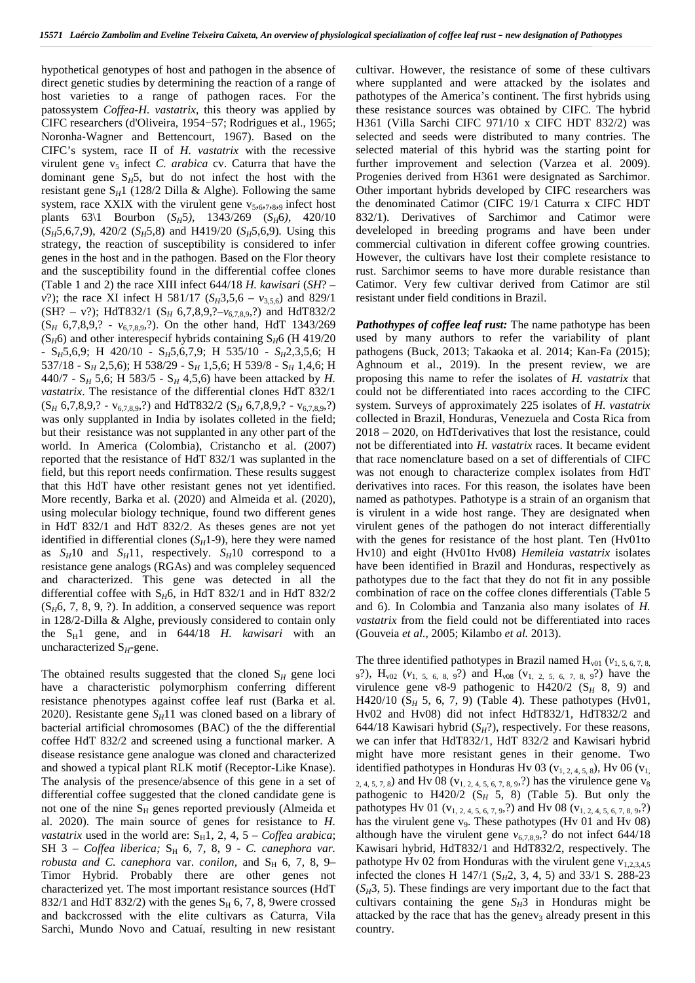hypothetical genotypes of host and pathogen in the absence of direct genetic studies by determining the reaction of a range of host varieties to a range of pathogen races. For the patossystem *Coffea*-*H. vastatrix*, this theory was applied by CIFC researchers (d'Oliveira, 1954−57; Rodrigues et al., 1965; Noronha‐Wagner and Bettencourt, 1967). Based on the CIFC's system, race II of *H. vastatrix* with the recessive virulent gene v<sub>5</sub> infect *C. arabica* cv. Caturra that have the dominant gene  $S_H5$ , but do not infect the host with the resistant gene  $S_H1$  (128/2 Dilla & Alghe). Following the same system, race XXIX with the virulent gene  $v_{5,6,7,8,9}$  infect host plants 63\1 Bourbon (*SH*5*),* 1343/269 (*SH*6*),* 420/10  $(S_H5,6,7,9)$ , 420/2  $(S_H5,8)$  and H419/20  $(S_H5,6,9)$ *.* Using this strategy, the reaction of susceptibility is considered to infer genes in the host and in the pathogen. Based on the Flor theory and the susceptibility found in the differential coffee clones (Table 1 and 2) the race XIII infect 644/18 *H. kawisari* (*SH*? – *v*?); the race XI infect H 581/17 ( $S_H$ 3,5,6 –  $v_{3,5,6}$ ) and 829/1 (SH? – v?); HdT832/1 (S*<sup>H</sup>* 6,7,8,9,?–*v*6,7,8,9,?) and HdT832/2 (S*<sup>H</sup>* 6,7,8,9,? -*v*6,7,8,9,?). On the other hand, HdT 1343/269  $(S_H6)$  and other interespecif hybrids containing  $S_H6$  (H 419/20) - S*H*5,6,9; H 420/10 - S*H*5,6,7,9; H 535/10 - *SH*2,3,5,6; H 537/18 - S*<sup>H</sup>* 2,5,6); H 538/29 - S*<sup>H</sup>* 1,5,6; H 539/8 - S*<sup>H</sup>* 1,4,6; H 440/7 - S*<sup>H</sup>* 5,6; H 583/5 - S*<sup>H</sup>* 4,5,6) have been attacked by *H. vastatrix*. The resistance of the differential clones HdT 832/1  $(S_H 6, 7, 8, 9, ? - v_{6,7,8,9}, ?)$  and HdT832/2  $(S_H 6, 7, 8, 9, ? - v_{6,7,8,9}, ?)$ was only supplanted in India by isolates colleted in the field; but their resistance was not supplanted in any other part of the world. In America (Colombia), Cristancho et al. (2007) reported that the resistance of HdT 832/1 was suplanted in the field, but this report needs confirmation. These results suggest that this HdT have other resistant genes not yet identified. More recently, Barka et al. (2020) and Almeida et al. (2020), using molecular biology technique, found two different genes in HdT 832/1 and HdT 832/2. As theses genes are not yet identified in differential clones  $(S_H1-9)$ , here they were named as  $S_H$ 10 and  $S_H$ 11, respectively.  $S_H$ 10 correspond to a resistance gene analogs (RGAs) and was compleley sequenced and characterized. This gene was detected in all the differential coffee with  $S_H$ 6, in HdT 832/1 and in HdT 832/2  $(S_H6, 7, 8, 9, ?)$ . In addition, a conserved sequence was report in 128/2-Dilla & Alghe, previously considered to contain only the  $S_H1$  gene, and in  $644/18$  *H. kawisari* with an uncharacterized S*H*-gene.

The obtained results suggested that the cloned  $S_H$  gene loci have a characteristic polymorphism conferring different resistance phenotypes against coffee leaf rust (Barka et al. 2020). Resistante gene  $S_H$ 11 was cloned based on a library of bacterial artificial chromosomes (BAC) of the the differential coffee HdT 832/2 and screened using a functional marker. A disease resistance gene analogue was cloned and characterized and showed a typical plant RLK motif (Receptor-Like Knase). The analysis of the presence/absence of this gene in a set of differential coffee suggested that the cloned candidate gene is not one of the nine  $S_H$  genes reported previously (Almeida et al. 2020). The main source of genes for resistance to *H. vastatrix* used in the world are:  $S_H1$ , 2, 4, 5 – *Coffea arabica*; SH 3 - *Coffea liberica*; S<sub>H</sub> 6, 7, 8, 9 - *C. canephora var. robusta and C. canephora var. conilon, and* S<sub>H</sub> 6, 7, 8, 9– Timor Hybrid. Probably there are other genes not characterized yet. The most important resistance sources (HdT 832/1 and HdT 832/2) with the genes  $S_H$  6, 7, 8, 9were crossed and backcrossed with the elite cultivars as Caturra, Vila Sarchi, Mundo Novo and Catuaí, resulting in new resistant

cultivar. However, the resistance of some of these cultivars where supplanted and were attacked by the isolates and pathotypes of the America's continent. The first hybrids using these resistance sources was obtained by CIFC. The hybrid H361 (Villa Sarchi CIFC 971/10 x CIFC HDT 832/2) was selected and seeds were distributed to many contries. The selected material of this hybrid was the starting point for further improvement and selection (Varzea et al. 2009). Progenies derived from H361 were designated as Sarchimor. Other important hybrids developed by CIFC researchers was the denominated Catimor (CIFC 19/1 Caturra x CIFC HDT 832/1). Derivatives of Sarchimor and Catimor were develeloped in breeding programs and have been under commercial cultivation in diferent coffee growing countries. However, the cultivars have lost their complete resistance to rust. Sarchimor seems to have more durable resistance than Catimor. Very few cultivar derived from Catimor are stil resistant under field conditions in Brazil.

*Pathothypes of coffee leaf rust:* The name pathotype has been used by many authors to refer the variability of plant pathogens (Buck, 2013; Takaoka et al. 2014; Kan-Fa (2015); Aghnoum et al., 2019). In the present review, we are proposing this name to refer the isolates of *H. vastatrix* that could not be differentiated into races according to the CIFC system. Surveys of approximately 225 isolates of *H. vastatrix* collected in Brazil, Honduras, Venezuela and Costa Rica from 2018 – 2020, on HdTderivatives that lost the resistance, could not be differentiated into *H. vastatrix* races. It became evident that race nomenclature based on a set of differentials of CIFC was not enough to characterize complex isolates from HdT derivatives into races. For this reason, the isolates have been named as pathotypes. Pathotype is a strain of an organism that is virulent in a wide host range. They are designated when virulent genes of the pathogen do not interact differentially with the genes for resistance of the host plant. Ten (Hv01to Hv10) and eight (Hv01to Hv08) *Hemileia vastatrix* isolates have been identified in Brazil and Honduras, respectively as pathotypes due to the fact that they do not fit in any possible combination of race on the coffee clones differentials (Table 5 and 6). In Colombia and Tanzania also many isolates of *H. vastatrix* from the field could not be differentiated into races (Gouveia *et al.,* 2005; Kilambo *et al.* 2013).

The three identified pathotypes in Brazil named  $H_{v01}$  ( $v_{1, 5, 6, 7, 8}$ , 9?),  $H_{\nu02}$  ( $v_{1, 5, 6, 8, 9}$ ?) and  $H_{\nu08}$  ( $v_{1, 2, 5, 6, 7, 8, 9}$ ?) have the virulence gene v8-9 pathogenic to  $H420/2$  (S<sub>H</sub> 8, 9) and H420/10 (S*<sup>H</sup>* 5, 6, 7, 9) (Table 4). These pathotypes (Hv01, Hv02 and Hv08) did not infect HdT832/1, HdT832/2 and 644/18 Kawisari hybrid  $(S_H$ ?), respectively. For these reasons, we can infer that HdT832/1, HdT 832/2 and Kawisari hybrid might have more resistant genes in their genome. Two identified pathotypes in Honduras Hv 03 ( $v_{1, 2, 4, 5, 8}$ ), Hv 06 ( $v_{1, 1}$ ),  $_{2, 4, 5, 7, 8}$ ) and Hv 08 (v<sub>1, 2, 4, 5, 6, 7, 8, 9</sub>,?) has the virulence gene v<sub>8</sub> pathogenic to  $H420/2$  (S<sub>H</sub> 5, 8) (Table 5). But only the pathotypes Hv 01 ( $v_{1, 2, 4, 5, 6, 7, 9}$ ,?) and Hv 08 ( $v_{1, 2, 4, 5, 6, 7, 8, 9}$ ) has the virulent gene  $v_9$ . These pathotypes (Hv 01 and Hv 08) although have the virulent gene  $v_{6,7,8,9}$ ,? do not infect 644/18 Kawisari hybrid, HdT832/1 and HdT832/2, respectively. The pathotype Hv 02 from Honduras with the virulent gene  $v_{1,2,3,4,5}$ infected the clones H 147/1 (S<sub>H</sub>2, 3, 4, 5) and 33/1 S. 288-23  $(S_H3, 5)$ . These findings are very important due to the fact that cultivars containing the gene  $S_H$ 3 in Honduras might be attacked by the race that has the genev<sub>3</sub> already present in this country.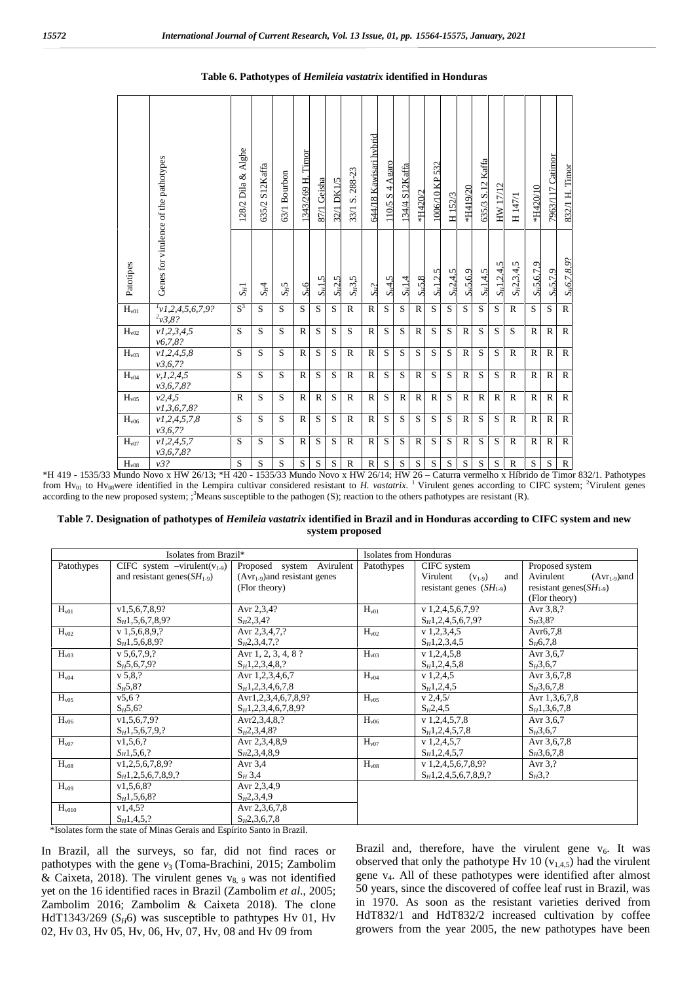|                             | Genes for virulence of the pathotypes | 128/2 Dila & Alghe | 635/2 S12Kaffa | 53/1 Bourbon | 1343/269 H. Timor | 87/1 Geisha | 32/1 DK1/5 | 33/1 S. 288-23 | 644/18 Kawisari hybrid | $110/5$ S 4 Agaro | 134/4 S12Kaffa | *H420/2      | 1006/10 KP 532 | H <sub>152/3</sub> | *H419/20     | 635/3 S.12 Kaffa | HW 17/12      | H 147/1         | *H420/10      | 7963/117 Catimor | 832/1 H. Timor    |
|-----------------------------|---------------------------------------|--------------------|----------------|--------------|-------------------|-------------|------------|----------------|------------------------|-------------------|----------------|--------------|----------------|--------------------|--------------|------------------|---------------|-----------------|---------------|------------------|-------------------|
| Patotipes                   |                                       | $S_H1$             | $S_H$ 4        | $S_H5$       | $S_H6$            | $S_H$ 1,5   | $S_H$ 2.5  | $S_H3,5$       | $S_H$ ?                | $S_H$ 4.5         | $S_H$ 1.4      | $S_H$ 5.8    | $S_H$ 1,2,5    | $S_H2.4.5$         | $S_H$ 5,6,9  | $S_H$ 1,4,5      | $S_H$ 1,2,4,5 | $S_H2, 3, 4, 5$ | $S_H$ 5,6,7,9 | $S_H$ 5.7.9      | $S_H6, 7, 8, 9$ ? |
| $\mathbf{H}_{\mathrm{v01}}$ | $^{1}v1,2,4,5,6,7,9?$<br>2v3,8?       | $S^3$              | S.             | S.           | S.                | S.          | S          | $\mathbb{R}$   | $\mathbb{R}$           | S.                | S.             | $\mathbb{R}$ | S              | S                  | S            | S.               | S             | $\mathbf R$     | S.            | S                | $\mathbb{R}$      |
| $H_{v02}$                   | v1, 2, 3, 4, 5<br>v6,7,8?             | S                  | S              | S            | $\mathbb{R}$      | S           | S          | S              | $\mathbb{R}$           | S                 | S              | $\mathbb{R}$ | S              | S                  | $\mathbb{R}$ | S                | S             | S               | $\mathbb{R}$  | $\mathbb{R}$     | $\mathbb{R}$      |
| H <sub>v03</sub>            | v1, 2, 4, 5, 8<br>v3, 6, 7?           | S                  | S              | S            | $\mathbb{R}$      | S           | S          | $\mathbb{R}$   | $\mathbb{R}$           | S                 | S              | S            | S              | S                  | $\mathbb{R}$ | S                | S             | $\mathbf R$     | $\mathbb{R}$  | $\mathbb{R}$     | $\mathbb{R}$      |
| H <sub>v04</sub>            | v, 1, 2, 4, 5<br>v3,6,7,8?            | S                  | S              | S            | R                 | S           | S          | $\mathbb{R}$   | $\mathbb{R}$           | S                 | S              | $\mathbb{R}$ | S              | S                  | $\mathbb{R}$ | S                | S             | $\mathbb{R}$    | $\mathbb{R}$  | $\mathbb{R}$     | $\mathbb{R}$      |
| H <sub>v05</sub>            | v2,4,5<br>v1, 3, 6, 7, 8?             | $\mathbb{R}$       | S              | S            | $\mathbb{R}$      | R           | S          | R              | $\mathbb{R}$           | S                 | $\mathbb{R}$   | $\mathbb{R}$ | $\mathbb{R}$   | S                  | $\mathbb{R}$ | $\mathbb{R}$     | $\mathbb{R}$  | $\mathbf R$     | $\mathbb{R}$  | $\mathbb{R}$     | $\mathbb{R}$      |
| H <sub>v06</sub>            | v1, 2, 4, 5, 7, 8<br>v3, 6, 7?        | S                  | S              | S            | $\mathbb{R}$      | S           | S          | $\mathbb{R}$   | $\mathbb{R}$           | S                 | S              | S            | S              | S                  | $\mathbb{R}$ | S                | S             | $\mathbf R$     | $\mathbb{R}$  | $\mathbf R$      | $\mathbb{R}$      |
| $H_\mathrm{v07}$            | v1, 2, 4, 5, 7                        | S                  | S              | S            | $\mathbb{R}$      | S           | S          | $\mathbb{R}$   | $\mathbb{R}$           | S                 | S              | $\mathbb{R}$ | S              | S                  | $\mathbb{R}$ | S                | S             | $\mathbb{R}$    | $\mathbb{R}$  | $\mathbb{R}$     | $\mathbb{R}$      |
| $H_{v08}$                   | v3,6,7,8?<br>v3?                      | S                  | S              | S            | S                 | $\mathbf S$ | S          | $\mathbb{R}$   | $\mathbb{R}$           | $\mathbf S$       | S              | S            | $\mathbf S$    | $\mathbf S$        | S            | $\mathbf S$      | S             | $\mathbb{R}$    | S             | S                | ${\bf R}$         |

#### **Table 6. Pathotypes of** *Hemileia vastatrix* **identified in Honduras**

\*H 419 - 1535/33 Mundo Novo x HW 26/13; \*H 420 - 1535/33 Mundo Novo x HW 26/14; HW 26 – Caturra vermelho x Híbrido de Timor 832/1. Pathotypes from Hv<sub>01</sub> to Hv<sub>08</sub>were identified in the Lempira cultivar considered resistant to *H. vastatrix*. <sup>1</sup> Virulent genes according to CIFC system; <sup>2</sup>Virulent genes according to the new proposed system;  $\frac{3}{2}$  Means susceptible to the pathogen (S); reaction to the others pathotypes are resistant (R).

#### **Table 7. Designation of pathotypes of** *Hemileia vastatrix* **identified in Brazil and in Honduras according to CIFC system and new system proposed**

|                   | Isolates from Brazil*                 |                                   | Isolates from Honduras |                                |                                |  |  |  |  |  |
|-------------------|---------------------------------------|-----------------------------------|------------------------|--------------------------------|--------------------------------|--|--|--|--|--|
| Patothypes        | CIFC system $-$ virulent( $v_{1-9}$ ) | Proposed system Avirulent         | Patothypes             | CIFC system                    | Proposed system                |  |  |  |  |  |
|                   | and resistant genes $(SH_{1.9})$      | $(Avr_{1.9})$ and resistant genes |                        | Virulent<br>$(V_{1-9})$<br>and | Avirulent<br>$(Avr_{1-9})$ and |  |  |  |  |  |
|                   |                                       | (Flor theory)                     |                        | resistant genes $(SH_{1.9})$   | resistant genes $(SH_{1-9})$   |  |  |  |  |  |
|                   |                                       |                                   |                        |                                | (Flor theory)                  |  |  |  |  |  |
| H <sub>v01</sub>  | v1, 5, 6, 7, 8, 9?                    | Avr 2,3,4?                        | H <sub>v01</sub>       | $v$ 1,2,4,5,6,7,9?             | Avr 3,8,?                      |  |  |  |  |  |
|                   | $S_H1, 5, 6, 7, 8, 9?$                | $S_{H}2,3,4?$                     |                        | $S_H$ 1,2,4,5,6,7,9?           | $S_H^23, 8$ ?                  |  |  |  |  |  |
| $H_{v02}$         | $v$ 1,5,6,8,9,?                       | Avr 2,3,4,7,?                     | $H_{v02}$              | $v$ 1,2,3,4,5                  | Avr6,7,8                       |  |  |  |  |  |
|                   | $S_H1, 5, 6, 8, 9?$                   | $S_{H}2,3,4,7,?$                  |                        | $S_H$ 1,2,3,4,5                | $S_H6,7,8$                     |  |  |  |  |  |
| H <sub>v03</sub>  | v 5.6.7.9.?                           | Avr 1, 2, 3, 4, 8 ?               | H <sub>v03</sub>       | $v$ 1,2,4,5,8                  | Avr 3,6,7                      |  |  |  |  |  |
|                   | $S_H5, 6, 7, 9?$                      | $S_H1, 2, 3, 4, 8, ?$             |                        | $S_H1, 2, 4, 5, 8$             | $S_H^{\{3,6,7\}}$              |  |  |  |  |  |
| $H_{v04}$         | v 5,8,?                               | Avr 1,2,3,4,6,7                   | $H_{v04}$              | $v$ 1,2,4,5                    | Avr 3,6,7,8                    |  |  |  |  |  |
|                   | $S_H5,8?$                             | $S_H1, 2, 3, 4, 6, 7, 8$          |                        | $S_H1, 2, 4, 5$                | $S_H$ 3,6,7,8                  |  |  |  |  |  |
| H <sub>v05</sub>  | v5.6?                                 | Avr1,2,3,4,6,7,8,9?               | H <sub>v05</sub>       | v 2,4,5/                       | Avr 1,3,6,7,8                  |  |  |  |  |  |
|                   | $S_H5,6?$                             | $S_H1, 2, 3, 4, 6, 7, 8, 9?$      |                        | $S_H2, 4, 5$                   | $S_H1, 3, 6, 7, 8$             |  |  |  |  |  |
| H <sub>v06</sub>  | v1, 5, 6, 7, 9?                       | Avr2,3,4,8,?                      | $H_{v06}$              | $v$ 1,2,4,5,7,8                | Avr 3,6,7                      |  |  |  |  |  |
|                   | $S_H1, 5, 6, 7, 9, ?$                 | $S_{H}2,3,4,8?$                   |                        | $S_H1, 2, 4, 5, 7, 8$          | $S_H^{\,2}, 6, 7$              |  |  |  |  |  |
| $H_{v07}$         | v1, 5, 6, ?                           | Avr 2,3,4,8,9                     | $H_{v07}$              | $v$ 1,2,4,5,7                  | Avr 3,6,7,8                    |  |  |  |  |  |
|                   | $S_H$ 1,5,6,?                         | $S_{H}2,3,4,8,9$                  |                        | $S_H1, 2, 4, 5, 7$             | $S_H3, 6, 7, 8$                |  |  |  |  |  |
| H <sub>v08</sub>  | v1, 2, 5, 6, 7, 8, 9?                 | Avr $3,4$                         | H <sub>v08</sub>       | $v$ 1,2,4,5,6,7,8,9?           | Avr $3.2$                      |  |  |  |  |  |
|                   | $S_H$ 1, 2, 5, 6, 7, 8, 9, ?          | $S_H 3,4$                         |                        | $S_H$ 1,2,4,5,6,7,8,9,?        | $S_H3$ <sup>2</sup>            |  |  |  |  |  |
| H <sub>v09</sub>  | v1, 5, 6, 8?                          | Avr 2,3,4,9                       |                        |                                |                                |  |  |  |  |  |
|                   | $S_H1, 5, 6, 8?$                      | $S_{H}2,3,4,9$                    |                        |                                |                                |  |  |  |  |  |
| H <sub>v010</sub> | v1,4,5?                               | Avr 2,3,6,7,8                     |                        |                                |                                |  |  |  |  |  |
|                   | $S_H1, 4, 5, ?$                       | $S_H2, 3, 6, 7, 8$                |                        |                                |                                |  |  |  |  |  |

\*Isolates form the state of Minas Gerais and Espírito Santo in Brazil.

In Brazil, all the surveys, so far, did not find races or pathotypes with the gene  $v_3$  (Toma-Brachini, 2015; Zambolim & Caixeta, 2018). The virulent genes  $v_{8,9}$  was not identified yet on the 16 identified races in Brazil (Zambolim *et al*., 2005; Zambolim 2016; Zambolim & Caixeta 2018). The clone HdT1343/269 ( $S_H$ 6) was susceptible to pathtypes Hv 01, Hv 02, Hv 03, Hv 05, Hv, 06, Hv, 07, Hv, 08 and Hv 09 from

Brazil and, therefore, have the virulent gene  $v_6$ . It was observed that only the pathotype Hv 10  $(v_{1,4,5})$  had the virulent gene v4. All of these pathotypes were identified after almost 50 years, since the discovered of coffee leaf rust in Brazil, was in 1970. As soon as the resistant varieties derived from HdT832/1 and HdT832/2 increased cultivation by coffee growers from the year 2005, the new pathotypes have been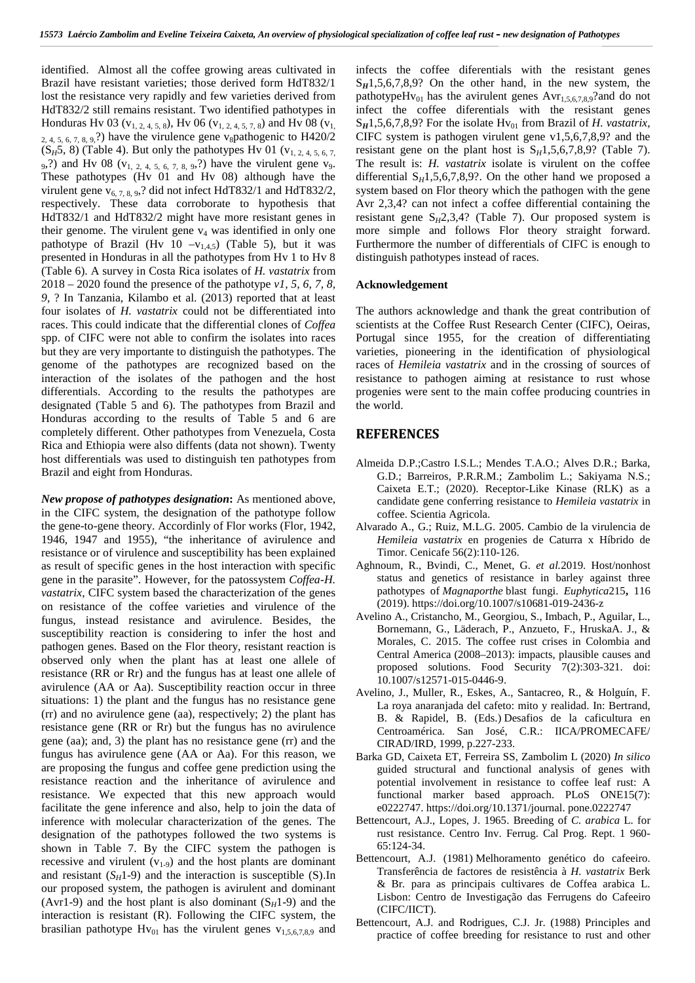identified. Almost all the coffee growing areas cultivated in Brazil have resistant varieties; those derived form HdT832/1 lost the resistance very rapidly and few varieties derived from HdT832/2 still remains resistant. Two identified pathotypes in Honduras Hv 03 ( $v_1$ ,  $2, 4, 5, 8$ ), Hv 06 ( $v_1$ ,  $2, 4, 5, 7, 8$ ) and Hv 08 ( $v_1$ , 2, 4, 5, 6, 7, 8, 9.?) have the virulence gene v<sub>8</sub>pathogenic to H420/2  $(S_H5, 8)$  (Table 4). But only the pathotypes Hv 01 (v<sub>1, 2, 4, 5, 6, 7,</sub> 9,?) and Hv 08 ( $v_{1, 2, 4, 5, 6, 7, 8, 9}$ ?) have the virulent gene  $v_9$ . These pathotypes (Hv 01 and Hv 08) although have the virulent gene  $v_{6, 7, 8, 9}$ ,? did not infect HdT832/1 and HdT832/2, respectively. These data corroborate to hypothesis that HdT832/1 and HdT832/2 might have more resistant genes in their genome. The virulent gene  $v_4$  was identified in only one pathotype of Brazil (Hv  $10 -v_{1,4,5}$ ) (Table 5), but it was presented in Honduras in all the pathotypes from Hv 1 to Hv 8 (Table 6). A survey in Costa Rica isolates of *H. vastatrix* from 2018 – 2020 found the presence of the pathotype *v1, 5, 6, 7, 8, 9*, ? In Tanzania, Kilambo et al. (2013) reported that at least four isolates of *H. vastatrix* could not be differentiated into races. This could indicate that the differential clones of *Coffea* spp. of CIFC were not able to confirm the isolates into races but they are very importante to distinguish the pathotypes. The genome of the pathotypes are recognized based on the interaction of the isolates of the pathogen and the host differentials. According to the results the pathotypes are designated (Table 5 and 6). The pathotypes from Brazil and Honduras according to the results of Table 5 and 6 are completely different. Other pathotypes from Venezuela, Costa Rica and Ethiopia were also diffents (data not shown). Twenty host differentials was used to distinguish ten pathotypes from Brazil and eight from Honduras.

*New propose of pathotypes designation***:** As mentioned above, in the CIFC system, the designation of the pathotype follow the gene-to-gene theory. Accordinly of Flor works (Flor, 1942, 1946, 1947 and 1955), "the inheritance of avirulence and resistance or of virulence and susceptibility has been explained as result of specific genes in the host interaction with specific gene in the parasite". However, for the patossystem *Coffea*-*H. vastatrix*, CIFC system based the characterization of the genes on resistance of the coffee varieties and virulence of the fungus, instead resistance and avirulence. Besides, the susceptibility reaction is considering to infer the host and pathogen genes. Based on the Flor theory, resistant reaction is observed only when the plant has at least one allele of resistance (RR or Rr) and the fungus has at least one allele of avirulence (AA or Aa). Susceptibility reaction occur in three situations: 1) the plant and the fungus has no resistance gene (rr) and no avirulence gene (aa), respectively; 2) the plant has resistance gene (RR or Rr) but the fungus has no avirulence gene (aa); and, 3) the plant has no resistance gene (rr) and the fungus has avirulence gene (AA or Aa). For this reason, we are proposing the fungus and coffee gene prediction using the resistance reaction and the inheritance of avirulence and resistance. We expected that this new approach would facilitate the gene inference and also, help to join the data of inference with molecular characterization of the genes. The designation of the pathotypes followed the two systems is shown in Table 7. By the CIFC system the pathogen is recessive and virulent  $(v_{1-9})$  and the host plants are dominant and resistant  $(S_H1-9)$  and the interaction is susceptible (S).In our proposed system, the pathogen is avirulent and dominant (Avr1-9) and the host plant is also dominant  $(S_H1-9)$  and the interaction is resistant (R). Following the CIFC system, the brasilian pathotype  $Hv_{01}$  has the virulent genes  $v_{1,5,6,7,8,9}$  and

infects the coffee diferentials with the resistant genes  $S_H$ 1,5,6,7,8,9? On the other hand, in the new system, the pathotypeHv<sub>01</sub> has the avirulent genes  $Avr_{1,5,6,7,8,9}$ ?and do not infect the coffee diferentials with the resistant genes  $S_H$ 1,5,6,7,8,9? For the isolate Hv<sub>01</sub> from Brazil of *H. vastatrix*, CIFC system is pathogen virulent gene v1,5,6,7,8,9? and the resistant gene on the plant host is  $S_H$ 1,5,6,7,8,9? (Table 7). The result is: *H. vastatrix* isolate is virulent on the coffee differential  $S_H$ 1,5,6,7,8,9?. On the other hand we proposed a system based on Flor theory which the pathogen with the gene Avr 2,3,4? can not infect a coffee differential containing the resistant gene S*H*2,3,4? (Table 7). Our proposed system is more simple and follows Flor theory straight forward. Furthermore the number of differentials of CIFC is enough to distinguish pathotypes instead of races.

#### **Acknowledgement**

The authors acknowledge and thank the great contribution of scientists at the Coffee Rust Research Center (CIFC), Oeiras, Portugal since 1955, for the creation of differentiating varieties, pioneering in the identification of physiological races of *Hemileia vastatrix* and in the crossing of sources of resistance to pathogen aiming at resistance to rust whose progenies were sent to the main coffee producing countries in the world.

#### **REFERENCES**

- Almeida D.P.;Castro I.S.L.; Mendes T.A.O.; Alves D.R.; Barka, G.D.; Barreiros, P.R.R.M.; Zambolim L.; Sakiyama N.S.; Caixeta E.T.; (2020). Receptor-Like Kinase (RLK) as a candidate gene conferring resistance to *Hemileia vastatrix* in coffee. Scientia Agricola.
- Alvarado A., G.; Ruiz, M.L.G. 2005. Cambio de la virulencia de *Hemileia vastatrix* en progenies de Caturra x Híbrido de Timor. Cenicafe 56(2):110-126.
- Aghnoum, R., Bvindi, C., Menet, G. *et al.*2019. Host/nonhost status and genetics of resistance in barley against three pathotypes of *Magnaporthe* blast fungi. *Euphytica*215**,** 116 (2019). https://doi.org/10.1007/s10681-019-2436-z
- Avelino A., Cristancho, M., Georgiou, S., Imbach, P., Aguilar, L., Bornemann, G., Läderach, P., Anzueto, F., HruskaA. J., & Morales, C. 2015. The coffee rust crises in Colombia and Central America (2008–2013): impacts, plausible causes and proposed solutions. Food Security 7(2):303-321. doi: 10.1007/s12571-015-0446-9.
- Avelino, J., Muller, R., Eskes, A., Santacreo, R., & Holguín, F. La roya anaranjada del cafeto: mito y realidad. In: Bertrand, B. & Rapidel, B. (Eds.) Desafios de la caficultura en Centroamérica. San José, C.R.: IICA/PROMECAFE/ CIRAD/IRD, 1999, p.227-233.
- Barka GD, Caixeta ET, Ferreira SS, Zambolim L (2020) *In silico* guided structural and functional analysis of genes with potential involvement in resistance to coffee leaf rust: A functional marker based approach. PLoS ONE15(7): e0222747. https://doi.org/10.1371/journal. pone.0222747
- Bettencourt, A.J., Lopes, J. 1965. Breeding of *C. arabica* L. for rust resistance. Centro Inv. Ferrug. Cal Prog. Rept. 1 960- 65:124-34.
- Bettencourt, A.J. (1981) Melhoramento genético do cafeeiro. Transferência de factores de resistência à *H. vastatrix* Berk & Br*.* para as principais cultivares de Coffea arabica L. Lisbon: Centro de Investigação das Ferrugens do Cafeeiro (CIFC/IICT).
- Bettencourt, A.J. and Rodrigues, C.J. Jr. (1988) Principles and practice of coffee breeding for resistance to rust and other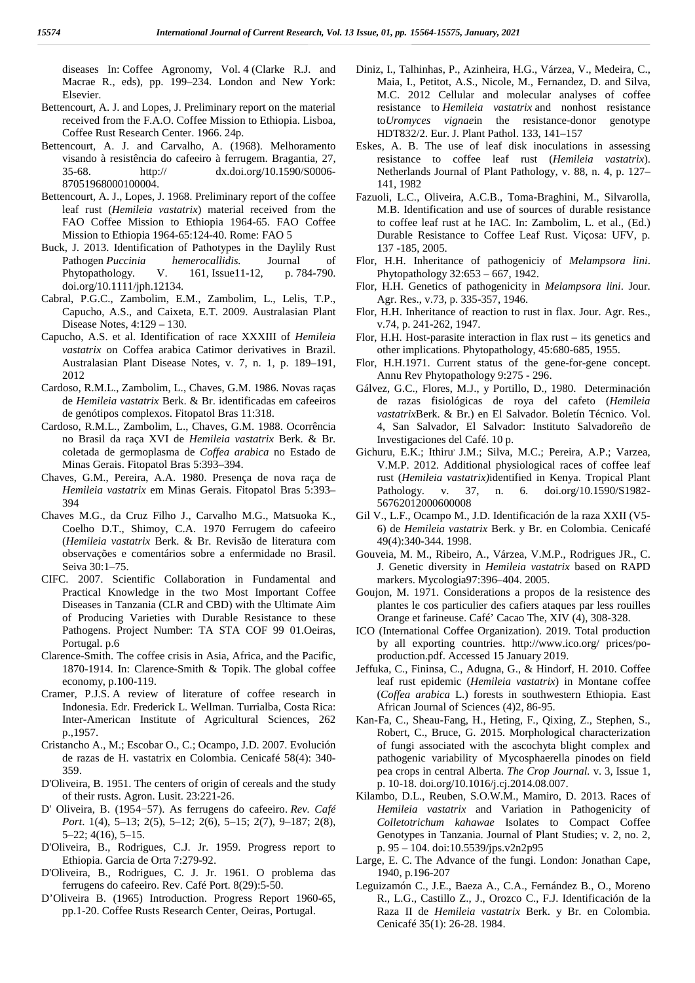diseases In: Coffee Agronomy, Vol. 4 (Clarke R.J. and Macrae R., eds), pp. 199–234. London and New York: Elsevier.

- Bettencourt, A. J. and Lopes, J. Preliminary report on the material received from the F.A.O. Coffee Mission to Ethiopia. Lisboa, Coffee Rust Research Center. 1966. 24p.
- Bettencourt, A. J. and Carvalho, A. (1968). Melhoramento visando à resistência do cafeeiro à ferrugem. Bragantia, 27, 35-68. http:// dx.doi.org/10.1590/S0006- 87051968000100004.
- Bettencourt, A. J., Lopes, J. 1968. Preliminary report of the coffee leaf rust (*Hemileia vastatrix*) material received from the FAO Coffee Mission to Ethiopia 1964-65. FAO Coffee Mission to Ethiopia 1964-65:124-40. Rome: FAO 5
- Buck, J. 2013. Identification of Pathotypes in the Daylily Rust Pathogen *Puccinia hemerocallidis*. Journal of Phytopathology. V. 161, Issue11-12, p. 784-790. Phytopathology. V. 161, Issue11-12, doi.org/10.1111/jph.12134.
- Cabral, P.G.C., Zambolim, E.M., Zambolim, L., Lelis, T.P., Capucho, A.S., and Caixeta, E.T. 2009. Australasian Plant Disease Notes, 4:129 – 130.
- Capucho, A.S. et al. Identification of race XXXIII of *Hemileia vastatrix* on Coffea arabica Catimor derivatives in Brazil. Australasian Plant Disease Notes, v. 7, n. 1, p. 189–191, 2012
- Cardoso, R.M.L., Zambolim, L., Chaves, G.M. 1986. Novas raças de *Hemileia vastatrix* Berk. & Br. identificadas em cafeeiros de genótipos complexos. Fitopatol Bras 11:318.
- Cardoso, R.M.L., Zambolim, L., Chaves, G.M. 1988. Ocorrência no Brasil da raça XVI de *Hemileia vastatrix* Berk. & Br. coletada de germoplasma de *Coffea arabica* no Estado de Minas Gerais. Fitopatol Bras 5:393–394.
- Chaves, G.M., Pereira, A.A. 1980. Presença de nova raça de *Hemileia vastatrix* em Minas Gerais. Fitopatol Bras 5:393– 394
- Chaves M.G., da Cruz Filho J., Carvalho M.G., Matsuoka K., Coelho D.T., Shimoy, C.A. 1970 Ferrugem do cafeeiro (*Hemileia vastatrix* Berk. & Br. Revisão de literatura com observações e comentários sobre a enfermidade no Brasil. Seiva 30:1–75.
- CIFC. 2007. Scientific Collaboration in Fundamental and Practical Knowledge in the two Most Important Coffee Diseases in Tanzania (CLR and CBD) with the Ultimate Aim of Producing Varieties with Durable Resistance to these Pathogens. Project Number: TA STA COF 99 01.Oeiras, Portugal. p.6
- Clarence-Smith. The coffee crisis in Asia, Africa, and the Pacific, 1870-1914. In: Clarence-Smith & Topik. The global coffee economy, p.100-119.
- Cramer, P.J.S. A review of literature of coffee research in Indonesia. Edr. Frederick L. Wellman. Turrialba, Costa Rica: Inter-American Institute of Agricultural Sciences, 262 p.,1957.
- Cristancho A., M.; Escobar O., C.; Ocampo, J.D. 2007. Evolución de razas de H. vastatrix en Colombia. Cenicafé 58(4): 340- 359.
- D'Oliveira, B. 1951. The centers of origin of cereals and the study of their rusts. Agron. Lusit. 23:221-26.
- D' Oliveira, B. (1954−57). As ferrugens do cafeeiro. *Rev. Café Port*. 1(4), 5–13; 2(5), 5–12; 2(6), 5–15; 2(7), 9–187; 2(8), 5–22; 4(16), 5–15.
- D'Oliveira, B., Rodrigues, C.J. Jr. 1959. Progress report to Ethiopia. Garcia de Orta 7:279-92.
- D'Oliveira, B., Rodrigues, C. J. Jr. 1961. O problema das ferrugens do cafeeiro. Rev. Café Port. 8(29):5-50.
- D'Oliveira B. (1965) Introduction. Progress Report 1960-65, pp.1-20. Coffee Rusts Research Center, Oeiras, Portugal.
- Diniz, I., Talhinhas, P., Azinheira, H.G., Várzea, V., Medeira, C., Maia, I., Petitot, A.S., Nicole, M., Fernandez, D. and Silva, M.C. 2012 Cellular and molecular analyses of coffee resistance to *Hemileia vastatrix* and nonhost resistance to*Uromyces vignae*in the resistance‐donor genotype HDT832/2. Eur. J. Plant Pathol. 133, 141–157
- Eskes, A. B. The use of leaf disk inoculations in assessing resistance to coffee leaf rust (*Hemileia vastatrix*). Netherlands Journal of Plant Pathology, v. 88, n. 4, p. 127– 141, 1982
- Fazuoli, L.C., Oliveira, A.C.B., Toma-Braghini, M., Silvarolla, M.B. Identification and use of sources of durable resistance to coffee leaf rust at he IAC. In: Zambolim, L. et al., (Ed.) Durable Resistance to Coffee Leaf Rust. Viçosa: UFV, p. 137 -185, 2005.
- Flor, H.H. Inheritance of pathogeniciy of *Melampsora lini*. Phytopathology 32:653 – 667, 1942.
- Flor, H.H. Genetics of pathogenicity in *Melampsora lini*. Jour. Agr. Res., v.73, p. 335-357, 1946.
- Flor, H.H. Inheritance of reaction to rust in flax. Jour. Agr. Res., v.74, p. 241-262, 1947.
- Flor, H.H. Host-parasite interaction in flax rust its genetics and other implications. Phytopathology, 45:680-685, 1955.
- Flor, H.H.1971. Current status of the gene-for-gene concept. Annu Rev Phytopathology 9:275 - 296.
- Gálvez, G.C., Flores, M.J., y Portillo, D., 1980. Determinación de razas fisiológicas de roya del cafeto (*Hemileia vastatrix*Berk. & Br.) en El Salvador. Boletín Técnico. Vol. 4, San Salvador, El Salvador: Instituto Salvadoreño de Investigaciones del Café. 10 p.
- Gichuru, E.K.; Ithiru<sup>,</sup> J.M.; Silva, M.C.; Pereira, A.P.; Varzea, V.M.P. 2012. Additional physiological races of coffee leaf rust (*Hemileia vastatrix)*identified in Kenya. Tropical Plant Pathology. v. 37, n. 6. doi.org/10.1590/S1982- 56762012000600008
- Gil V., L.F., Ocampo M., J.D. Identificación de la raza XXII (V5- 6) de *Hemileia vastatrix* Berk. y Br. en Colombia. Cenicafé 49(4):340-344. 1998.
- Gouveia, M. M., Ribeiro, A., Várzea, V.M.P., Rodrigues JR., C. J. Genetic diversity in *Hemileia vastatrix* based on RAPD markers. Mycologia97:396–404. 2005.
- Goujon, M. 1971. Considerations a propos de la resistence des plantes le cos particulier des cafiers ataques par less rouilles Orange et farineuse. Café' Cacao The, XIV (4), 308-328.
- ICO (International Coffee Organization). 2019. Total production by all exporting countries. http://www.ico.org/ prices/po production.pdf. Accessed 15 January 2019.
- Jeffuka, C., Fininsa, C., Adugna, G., & Hindorf, H. 2010. Coffee leaf rust epidemic (*Hemileia vastatrix*) in Montane coffee (*Coffea arabica* L.) forests in southwestern Ethiopia. East African Journal of Sciences (4)2, 86-95.
- Kan-Fa, C., Sheau-Fang, H., Heting, F., Qixing, Z., Stephen, S., Robert, C., Bruce, G. 2015. Morphological characterization of fungi associated with the ascochyta blight complex and pathogenic variability of Mycosphaerella pinodes on field pea crops in central Alberta. *The Crop Journal.* v. 3, Issue 1, p. 10-18. doi.org/10.1016/j.cj.2014.08.007.
- Kilambo, D.L., Reuben, S.O.W.M., Mamiro, D. 2013. Races of *Hemileia vastatrix* and Variation in Pathogenicity of *Colletotrichum kahawae* Isolates to Compact Coffee Genotypes in Tanzania. Journal of Plant Studies; v. 2, no. 2, p. 95 – 104. doi:10.5539/jps.v2n2p95
- Large, E. C. The Advance of the fungi. London: Jonathan Cape, 1940, p.196-207
- Leguizamón C., J.E., Baeza A., C.A., Fernández B., O., Moreno R., L.G., Castillo Z., J., Orozco C., F.J. Identificación de la Raza II de *Hemileia vastatrix* Berk. y Br. en Colombia. Cenicafé 35(1): 26-28. 1984.